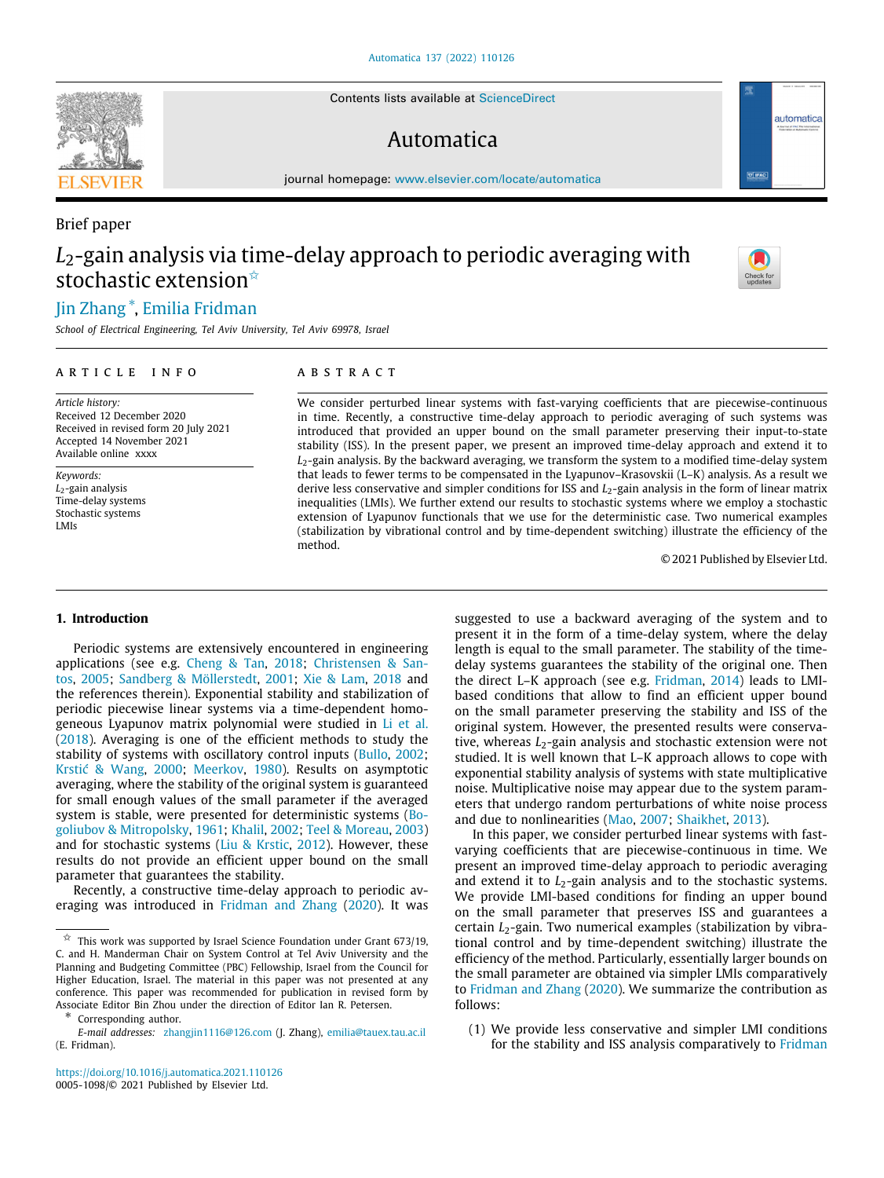Contents lists available at [ScienceDirect](http://www.elsevier.com/locate/automatica)

# Automatica

journal homepage: [www.elsevier.com/locate/automatica](http://www.elsevier.com/locate/automatica)

# *L*2-gain analysis via time-delay approach to periodic averaging with stochastic extension $\hat{z}$

## [Jin](#page-8-0) [Zhang](#page-8-0) [∗](#page-0-1) , [Emilia](#page-8-1) [Fridman](#page-8-1)

*School of Electrical Engineering, Tel Aviv University, Tel Aviv 69978, Israel*

#### a r t i c l e i n f o

*Article history:* Received 12 December 2020 Received in revised form 20 July 2021 Accepted 14 November 2021 Available online xxxx

*Keywords: L*2-gain analysis Time-delay systems Stochastic systems LMIs

#### A B S T R A C T

We consider perturbed linear systems with fast-varying coefficients that are piecewise-continuous in time. Recently, a constructive time-delay approach to periodic averaging of such systems was introduced that provided an upper bound on the small parameter preserving their input-to-state stability (ISS). In the present paper, we present an improved time-delay approach and extend it to *L*2-gain analysis. By the backward averaging, we transform the system to a modified time-delay system that leads to fewer terms to be compensated in the Lyapunov–Krasovskii (L–K) analysis. As a result we derive less conservative and simpler conditions for ISS and *L*2-gain analysis in the form of linear matrix inequalities (LMIs). We further extend our results to stochastic systems where we employ a stochastic extension of Lyapunov functionals that we use for the deterministic case. Two numerical examples (stabilization by vibrational control and by time-dependent switching) illustrate the efficiency of the method.

© 2021 Published by Elsevier Ltd.

#### **1. Introduction**

Periodic systems are extensively encountered in engineering applications (see e.g. [Cheng & Tan,](#page-8-2) [2018](#page-8-2); [Christensen & San](#page-8-3)[tos](#page-8-3), [2005;](#page-8-3) [Sandberg & Möllerstedt](#page-8-4), [2001](#page-8-4); [Xie & Lam](#page-8-5), [2018](#page-8-5) and the references therein). Exponential stability and stabilization of periodic piecewise linear systems via a time-dependent homogeneous Lyapunov matrix polynomial were studied in [Li et al.](#page-8-6) ([2018\)](#page-8-6). Averaging is one of the efficient methods to study the stability of systems with oscillatory control inputs ([Bullo](#page-8-7), [2002;](#page-8-7) [Krstić & Wang](#page-8-8), [2000;](#page-8-8) [Meerkov](#page-8-9), [1980\)](#page-8-9). Results on asymptotic averaging, where the stability of the original system is guaranteed for small enough values of the small parameter if the averaged system is stable, were presented for deterministic systems ([Bo](#page-8-10)[goliubov & Mitropolsky](#page-8-10), [1961;](#page-8-10) [Khalil](#page-8-11), [2002](#page-8-11); [Teel & Moreau](#page-8-12), [2003\)](#page-8-12) and for stochastic systems ([Liu & Krstic,](#page-8-13) [2012\)](#page-8-13). However, these results do not provide an efficient upper bound on the small parameter that guarantees the stability.

Recently, a constructive time-delay approach to periodic averaging was introduced in [Fridman and Zhang](#page-8-14) ([2020\)](#page-8-14). It was

suggested to use a backward averaging of the system and to present it in the form of a time-delay system, where the delay length is equal to the small parameter. The stability of the timedelay systems guarantees the stability of the original one. Then the direct L–K approach (see e.g. [Fridman](#page-8-15), [2014](#page-8-15)) leads to LMIbased conditions that allow to find an efficient upper bound on the small parameter preserving the stability and ISS of the original system. However, the presented results were conservative, whereas *L*<sub>2</sub>-gain analysis and stochastic extension were not studied. It is well known that L–K approach allows to cope with exponential stability analysis of systems with state multiplicative noise. Multiplicative noise may appear due to the system parameters that undergo random perturbations of white noise process and due to nonlinearities ([Mao,](#page-8-16) [2007;](#page-8-16) [Shaikhet,](#page-8-17) [2013](#page-8-17)).

In this paper, we consider perturbed linear systems with fastvarying coefficients that are piecewise-continuous in time. We present an improved time-delay approach to periodic averaging and extend it to *L*<sub>2</sub>-gain analysis and to the stochastic systems. We provide LMI-based conditions for finding an upper bound on the small parameter that preserves ISS and guarantees a certain *L*<sub>2</sub>-gain. Two numerical examples (stabilization by vibrational control and by time-dependent switching) illustrate the efficiency of the method. Particularly, essentially larger bounds on the small parameter are obtained via simpler LMIs comparatively to [Fridman and Zhang](#page-8-14) [\(2020](#page-8-14)). We summarize the contribution as follows:

(1) We provide less conservative and simpler LMI conditions for the stability and ISS analysis comparatively to [Fridman](#page-8-14)



automatica



Brief paper

<span id="page-0-0"></span> $\overrightarrow{x}$  This work was supported by Israel Science Foundation under Grant 673/19, C. and H. Manderman Chair on System Control at Tel Aviv University and the Planning and Budgeting Committee (PBC) Fellowship, Israel from the Council for Higher Education, Israel. The material in this paper was not presented at any conference. This paper was recommended for publication in revised form by Associate Editor Bin Zhou under the direction of Editor Ian R. Petersen.

<span id="page-0-1"></span><sup>∗</sup> Corresponding author.

*E-mail addresses:* [zhangjin1116@126.com](mailto:zhangjin1116@126.com) (J. Zhang), [emilia@tauex.tau.ac.il](mailto:emilia@tauex.tau.ac.il) (E. Fridman).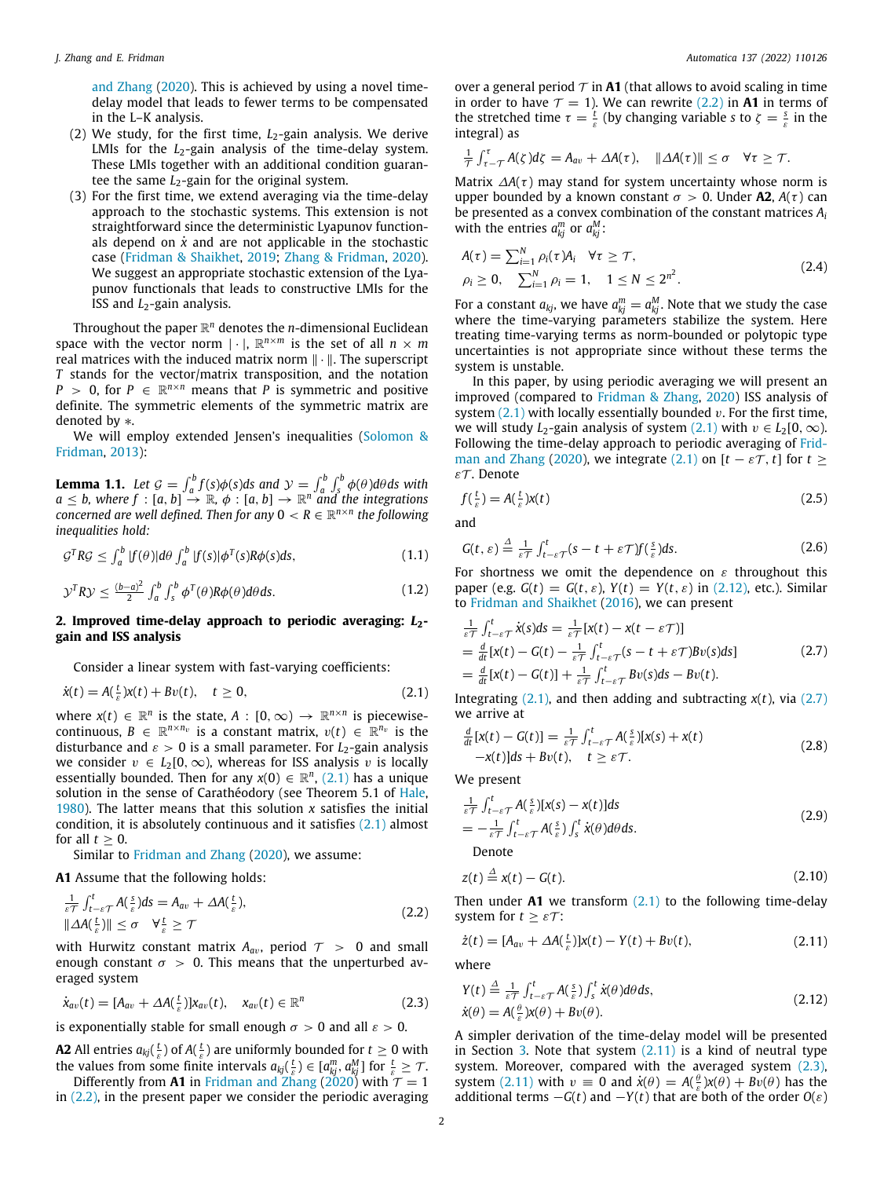[and Zhang](#page-8-14) ([2020\)](#page-8-14). This is achieved by using a novel timedelay model that leads to fewer terms to be compensated in the L–K analysis.

- (2) We study, for the first time, *L*2-gain analysis. We derive LMIs for the  $L_2$ -gain analysis of the time-delay system. These LMIs together with an additional condition guarantee the same *L*<sub>2</sub>-gain for the original system.
- (3) For the first time, we extend averaging via the time-delay approach to the stochastic systems. This extension is not straightforward since the deterministic Lyapunov functionals depend on  $\dot{x}$  and are not applicable in the stochastic case [\(Fridman & Shaikhet,](#page-8-18) [2019;](#page-8-18) [Zhang & Fridman](#page-8-19), [2020\)](#page-8-19). We suggest an appropriate stochastic extension of the Lyapunov functionals that leads to constructive LMIs for the ISS and *L*2-gain analysis.

Throughout the paper R *<sup>n</sup>* denotes the *n*-dimensional Euclidean space with the vector norm  $|\cdot|$ ,  $\mathbb{R}^{n \times m}$  is the set of all  $n \times m$ real matrices with the induced matrix norm ∥ · ∥. The superscript *T* stands for the vector/matrix transposition, and the notation *P* > 0, for *P*  $\in \mathbb{R}^{n \times n}$  means that *P* is symmetric and positive definite. The symmetric elements of the symmetric matrix are denoted by ∗.

We will employ extended Jensen's inequalities [\(Solomon &](#page-8-20) [Fridman,](#page-8-20) [2013\)](#page-8-20):

**Lemma 1.1.** Let  $\mathcal{G} = \int_a^b f(s)\phi(s)ds$  and  $\mathcal{Y} = \int_a^b \int_s^b \phi(\theta)d\theta ds$  with  $a \leq b$ , where  $f : [a, b] \stackrel{\circ}{\rightarrow} \mathbb{R}$ ,  $\phi : [a, b] \rightarrow \mathbb{R}^n$  and the integrations *concerned are well defined. Then for any*  $0 < R \in \mathbb{R}^{n \times n}$  the following *inequalities hold:*

$$
\mathcal{G}^T R \mathcal{G} \le \int_a^b |f(\theta)| d\theta \int_a^b |f(s)| \phi^T(s) R \phi(s) ds, \tag{1.1}
$$

$$
\mathcal{Y}^T R \mathcal{Y} \le \frac{(b-a)^2}{2} \int_a^b \int_s^b \phi^T(\theta) R \phi(\theta) d\theta ds. \tag{1.2}
$$

#### 2. Improved time-delay approach to periodic averaging:  $L_2$ **gain and ISS analysis**

Consider a linear system with fast-varying coefficients:

$$
\dot{x}(t) = A\left(\frac{t}{\varepsilon}\right)x(t) + Bv(t), \quad t \ge 0,
$$
\n(2.1)

where  $x(t) \in \mathbb{R}^n$  is the state,  $A : [0, \infty) \to \mathbb{R}^{n \times n}$  is piecewisecontinuous,  $B \in \mathbb{R}^{n \times n_v}$  is a constant matrix,  $v(t) \in \mathbb{R}^{n_v}$  is the disturbance and  $\varepsilon > 0$  is a small parameter. For  $L_2$ -gain analysis we consider  $v \in L_2[0,\infty)$ , whereas for ISS analysis v is locally essentially bounded. Then for any  $x(0) \in \mathbb{R}^n$ , [\(2.1\)](#page-1-0) has a unique solution in the sense of Carathéodory (see Theorem 5.1 of [Hale,](#page-8-21) [1980\)](#page-8-21). The latter means that this solution *x* satisfies the initial condition, it is absolutely continuous and it satisfies  $(2.1)$  almost for all  $t > 0$ .

Similar to [Fridman and Zhang](#page-8-14) [\(2020](#page-8-14)), we assume:

**A1** Assume that the following holds:

$$
\frac{1}{\varepsilon\tau} \int_{t-\varepsilon\tau}^{t} A(\frac{s}{\varepsilon}) ds = A_{av} + \Delta A(\frac{t}{\varepsilon}),
$$
\n
$$
\| \Delta A(\frac{t}{\varepsilon}) \| \leq \sigma \quad \forall \frac{t}{\varepsilon} \geq \tau
$$
\n(2.2)

with Hurwitz constant matrix  $A_{av}$ , period  $\tau > 0$  and small enough constant  $\sigma > 0$ . This means that the unperturbed averaged system

$$
\dot{x}_{av}(t) = [A_{av} + \Delta A(\tfrac{t}{\varepsilon})]x_{av}(t), \quad x_{av}(t) \in \mathbb{R}^n
$$
\n(2.3)

is exponentially stable for small enough  $\sigma > 0$  and all  $\varepsilon > 0$ .

**A2** All entries  $a_{kj}(\frac{t}{\varepsilon})$  of  $A(\frac{t}{\varepsilon})$  are uniformly bounded for  $t \ge 0$  with the values from some finite intervals  $a_{kj}(\frac{t}{\varepsilon}) \in [a_{kj}^m, a_{kj}^m]$  for  $\frac{t}{\varepsilon} \geq \mathcal{T}$ . Differently from **A1** in [Fridman and Zhang](#page-8-14) [\(2020](#page-8-14)) with  $\tau = 1$ 

in ([2.2\)](#page-1-1), in the present paper we consider the periodic averaging

over a general period  $\tau$  in **A1** (that allows to avoid scaling in time in order to have  $\tau = 1$ ). We can rewrite ([2.2](#page-1-1)) in **A1** in terms of the stretched time  $\tau = \frac{t}{\varepsilon}$  (by changing variable *s* to  $\zeta = \frac{s}{\varepsilon}$  in the integral) as

$$
\frac{1}{\tau}\int_{\tau-\tau}^{\tau}A(\zeta)d\zeta=A_{av}+\Delta A(\tau), \quad \|\Delta A(\tau)\|\leq \sigma \quad \forall \tau\geq \mathcal{T}.
$$

Matrix  $\Delta A(\tau)$  may stand for system uncertainty whose norm is upper bounded by a known constant  $\sigma > 0$ . Under **A2**,  $A(\tau)$  can be presented as a convex combination of the constant matrices *A<sup>i</sup>* with the entries  $a_{kj}^m$  or  $a_{kj}^M$ :

<span id="page-1-10"></span>
$$
A(\tau) = \sum_{i=1}^{N} \rho_i(\tau) A_i \quad \forall \tau \geq \mathcal{T},
$$
  
\n
$$
\rho_i \geq 0, \quad \sum_{i=1}^{N} \rho_i = 1, \quad 1 \leq N \leq 2^{n^2}.
$$
\n(2.4)

For a constant  $a_{kj}$ , we have  $a_{kj}^m = a_{kj}^M$ . Note that we study the case where the time-varying parameters stabilize the system. Here treating time-varying terms as norm-bounded or polytopic type uncertainties is not appropriate since without these terms the system is unstable.

In this paper, by using periodic averaging we will present an improved (compared to [Fridman & Zhang,](#page-8-14) [2020](#page-8-14)) ISS analysis of system  $(2.1)$  with locally essentially bounded v. For the first time, we will study *L*<sub>2</sub>-gain analysis of system ([2.1](#page-1-0)) with  $v \in L_2[0,\infty)$ . Following the time-delay approach to periodic averaging of [Frid](#page-8-14)[man and Zhang](#page-8-14) [\(2020\)](#page-8-14), we integrate ([2.1](#page-1-0)) on  $[t - \varepsilon \mathcal{T}, t]$  for  $t \geq$ ε $\tau$ . Denote

<span id="page-1-7"></span>
$$
f(\frac{t}{\varepsilon}) = A(\frac{t}{\varepsilon})x(t) \tag{2.5}
$$

and

<span id="page-1-8"></span><span id="page-1-6"></span>
$$
G(t,\varepsilon) \stackrel{\Delta}{=} \frac{1}{\varepsilon \tau} \int_{t-\varepsilon}^{t} (s-t+\varepsilon \tau) f(\frac{s}{\varepsilon}) ds. \tag{2.6}
$$

<span id="page-1-9"></span>For shortness we omit the dependence on  $\varepsilon$  throughout this paper (e.g.  $G(t) = G(t, \varepsilon)$ ,  $Y(t) = Y(t, \varepsilon)$  in [\(2.12](#page-1-2)), etc.). Similar to [Fridman and Shaikhet](#page-8-22) [\(2016](#page-8-22)), we can present

<span id="page-1-3"></span>
$$
\frac{1}{\varepsilon\tau} \int_{t-\varepsilon\tau}^{t} \dot{x}(s)ds = \frac{1}{\varepsilon\tau} [x(t) - x(t - \varepsilon\tau)]
$$
  
\n
$$
= \frac{d}{dt} [x(t) - G(t) - \frac{1}{\varepsilon\tau} \int_{t-\varepsilon\tau}^{t} (s - t + \varepsilon\tau) Bv(s)ds]
$$
  
\n
$$
= \frac{d}{dt} [x(t) - G(t)] + \frac{1}{\varepsilon\tau} \int_{t-\varepsilon\tau}^{t} Bv(s)ds - Bv(t).
$$
\n(2.7)

<span id="page-1-0"></span>Integrating  $(2.1)$ , and then adding and subtracting  $x(t)$ , via  $(2.7)$ we arrive at

$$
\frac{d}{dt}[x(t) - G(t)] = \frac{1}{\varepsilon \tau} \int_{t-\varepsilon \tau}^{t} A(\frac{s}{\varepsilon})[x(s) + x(t)]
$$
\n
$$
-x(t)|ds + Bv(t), \quad t \geq \varepsilon \tau.
$$
\n(2.8)

We present

$$
\frac{1}{\varepsilon\mathcal{T}}\int_{t-\varepsilon\mathcal{T}}^{t} A(\frac{s}{\varepsilon})[x(s) - x(t)]ds
$$
\n
$$
= -\frac{1}{\varepsilon\mathcal{T}}\int_{t-\varepsilon\mathcal{T}}^{t} A(\frac{s}{\varepsilon})\int_{s}^{t} \dot{x}(\theta)d\theta ds.
$$
\n(2.9)

<span id="page-1-12"></span><span id="page-1-11"></span><span id="page-1-4"></span>Denote

$$
z(t) \stackrel{\Delta}{=} x(t) - G(t). \tag{2.10}
$$

<span id="page-1-1"></span>Then under  $A1$  we transform  $(2.1)$  $(2.1)$  to the following time-delay system for  $t \geq \varepsilon \mathcal{T}$ :

$$
\dot{z}(t) = [A_{av} + \Delta A(\frac{t}{\varepsilon})]x(t) - Y(t) + Bv(t), \qquad (2.11)
$$

where

<span id="page-1-5"></span><span id="page-1-2"></span>
$$
Y(t) \stackrel{\Delta}{=} \frac{1}{\varepsilon \tau} \int_{t-\varepsilon}^{t} A(\frac{s}{\varepsilon}) \int_{s}^{t} \dot{x}(\theta) d\theta ds,
$$
  
\n
$$
\dot{x}(\theta) = A(\frac{\theta}{\varepsilon}) X(\theta) + Bv(\theta).
$$
\n(2.12)

A simpler derivation of the time-delay model will be presented in Section [3.](#page-4-0) Note that system ([2.11](#page-1-4)) is a kind of neutral type system. Moreover, compared with the averaged system  $(2.3)$ , system [\(2.11](#page-1-4)) with  $v \equiv 0$  and  $\dot{x}(\theta) = A(\frac{\theta}{\varepsilon})x(\theta) + Bv(\theta)$  has the additional terms  $-G(t)$  and  $-Y(t)$  that are both of the order  $O(\varepsilon)$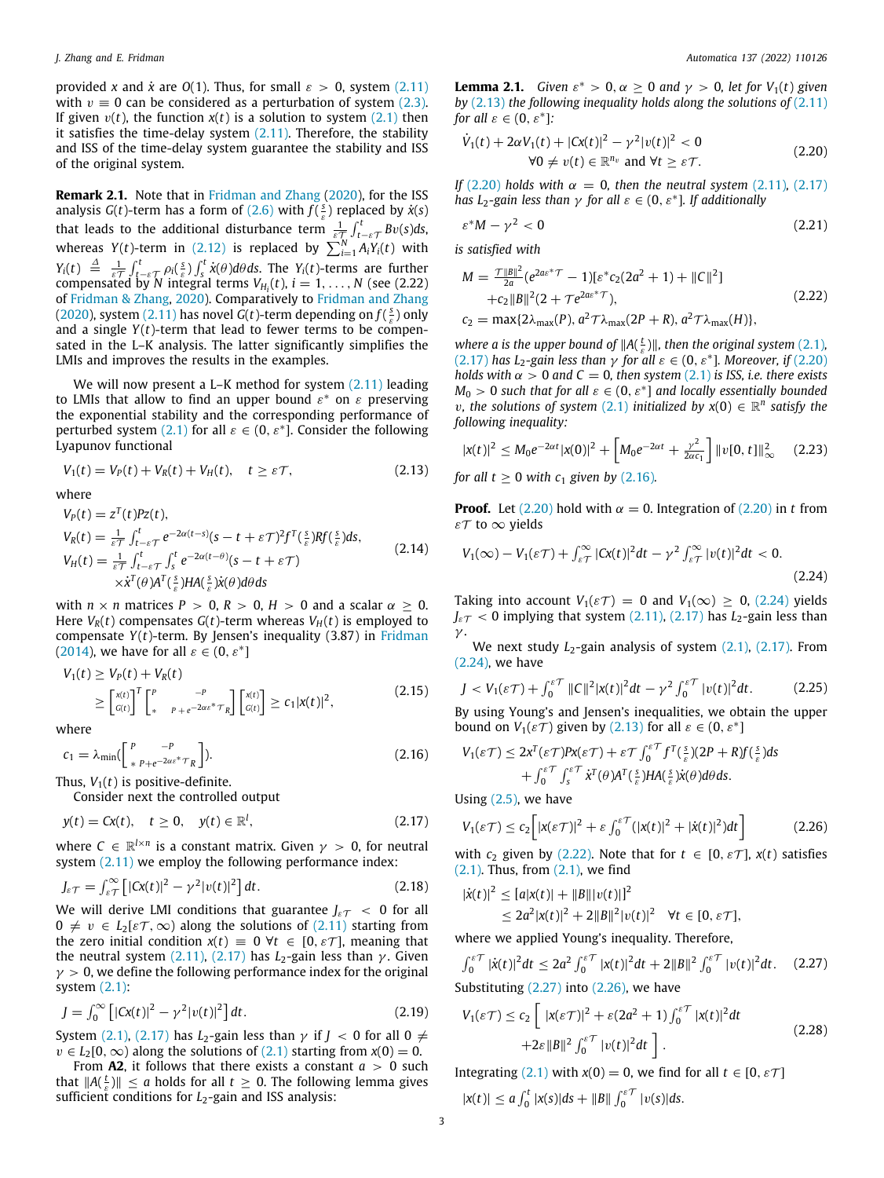provided *x* and  $\dot{x}$  are *O*(1). Thus, for small  $\varepsilon > 0$ , system [\(2.11\)](#page-1-4) with  $v \equiv 0$  can be considered as a perturbation of system [\(2.3\)](#page-1-5). If given  $v(t)$ , the function  $x(t)$  is a solution to system  $(2,1)$  then it satisfies the time-delay system  $(2.11)$  $(2.11)$  $(2.11)$ . Therefore, the stability and ISS of the time-delay system guarantee the stability and ISS of the original system.

**Remark 2.1.** Note that in [Fridman and Zhang](#page-8-14) ([2020\)](#page-8-14), for the ISS analysis *G*(*t*)-term has a form of ([2.6](#page-1-6)) with  $f(\frac{s}{\varepsilon})$  replaced by  $\dot{x}(s)$ that leads to the additional disturbance term  $\frac{1}{\varepsilon \mathcal{T}} \int_{t-\varepsilon \mathcal{T}}^t Bv(s)ds$ , whereas *Y*(*t*)-term in ([2.12](#page-1-2)) is replaced by  $\sum_{i=1}^{N} A_i Y_i(t)$  with  $Y_i(t) \triangleq \frac{1}{\varepsilon T} \int_{t-\varepsilon T}^t \rho_i(\frac{s}{\varepsilon}) \int_s^t \dot{x}(\theta) d\theta ds$ . The *Y<sub>i</sub>*(*t*)-terms are further compensated by *N* integral terms  $V_{H_i}(t)$ ,  $i = 1, ..., N$  (see (2.22) of [Fridman & Zhang,](#page-8-14) [2020\)](#page-8-14). Comparatively to [Fridman and Zhang](#page-8-14) ([2020\)](#page-8-14), system [\(2.11\)](#page-1-4) has novel  $G(t)$ -term depending on  $f(\frac{s}{s})$  only and a single  $Y(t)$ -term that lead to fewer terms to be compensated in the L–K analysis. The latter significantly simplifies the LMIs and improves the results in the examples.

We will now present a L–K method for system  $(2.11)$  leading to LMIs that allow to find an upper bound  $\varepsilon^*$  on  $\varepsilon$  preserving the exponential stability and the corresponding performance of perturbed system ([2.1](#page-1-0)) for all  $\varepsilon \in (0, \varepsilon^*]$ . Consider the following Lyapunov functional

$$
V_1(t) = V_P(t) + V_R(t) + V_H(t), \quad t \ge \varepsilon \mathcal{T}, \tag{2.13}
$$

where

$$
V_P(t) = z^T(t)Pz(t),
$$
  
\n
$$
V_R(t) = \frac{1}{\varepsilon \tau} \int_{t-\varepsilon \tau}^t e^{-2\alpha(t-s)} (s - t + \varepsilon \tau)^2 f^T(\frac{s}{\varepsilon}) R f(\frac{s}{\varepsilon}) ds,
$$
  
\n
$$
V_H(t) = \frac{1}{\varepsilon \tau} \int_{t-\varepsilon \tau}^t \int_s^t e^{-2\alpha(t-\theta)} (s - t + \varepsilon \tau)
$$
  
\n
$$
\times \dot{x}^T(\theta) A^T(\frac{s}{\varepsilon}) H A(\frac{s}{\varepsilon}) \dot{x}(\theta) d\theta ds
$$
\n(2.14)

with  $n \times n$  matrices  $P > 0$ ,  $R > 0$ ,  $H > 0$  and a scalar  $\alpha \geq 0$ . Here  $V_R(t)$  compensates  $G(t)$ -term whereas  $V_H(t)$  is employed to compensate *Y*(*t*)-term. By Jensen's inequality (3.87) in [Fridman](#page-8-15) ([2014\)](#page-8-15), we have for all  $\varepsilon \in (0, \varepsilon^*]$ 

$$
V_1(t) \ge V_P(t) + V_R(t)
$$
  
\n
$$
\ge \left[\begin{matrix} x(t) \\ G(t) \end{matrix}\right]^T \left[\begin{matrix} P & -P \\ * & P + e^{-2\alpha \varepsilon^* \tau} \end{matrix}\right] \left[\begin{matrix} x(t) \\ G(t) \end{matrix}\right] \ge c_1 |x(t)|^2,
$$
\n(2.15)

where

$$
c_1 = \lambda_{\min} \left( \left[ \begin{array}{cc} P & -P \\ *P + e^{-2\alpha \varepsilon} & \tau_R \end{array} \right] \right). \tag{2.16}
$$

Thus,  $V_1(t)$  is positive-definite.

Consider next the controlled output

$$
y(t) = Cx(t), \quad t \ge 0, \quad y(t) \in \mathbb{R}^l,
$$
\n
$$
(2.17)
$$

where  $C \in \mathbb{R}^{l \times n}$  is a constant matrix. Given  $\gamma > 0$ , for neutral system ([2.11\)](#page-1-4) we employ the following performance index:

$$
J_{\varepsilon\mathcal{T}} = \int_{\varepsilon\mathcal{T}}^{\infty} \left[ |Cx(t)|^2 - \gamma^2 |v(t)|^2 \right] dt. \tag{2.18}
$$

We will derive LMI conditions that guarantee  $J_{\epsilon T}$  < 0 for all  $0 \neq v \in L_2[\epsilon \mathcal{T}, \infty)$  along the solutions of [\(2.11\)](#page-1-4) starting from the zero initial condition  $x(t) = 0$   $\forall t \in [0, \varepsilon \mathcal{T}]$ , meaning that the neutral system  $(2.11)$ ,  $(2.17)$  $(2.17)$  has  $L_2$ -gain less than  $\gamma$ . Given  $\gamma > 0$ , we define the following performance index for the original system  $(2.1)$  $(2.1)$  $(2.1)$ :

$$
J = \int_0^\infty \left[ |Cx(t)|^2 - \gamma^2 |v(t)|^2 \right] dt. \tag{2.19}
$$

System ([2.1](#page-1-0)), [\(2.17\)](#page-2-0) has *L*<sub>2</sub>-gain less than  $\gamma$  if  $J < 0$  for all  $0 \neq$  $v \in L_2[0,\infty)$  along the solutions of [\(2.1\)](#page-1-0) starting from  $x(0) = 0$ .

<span id="page-2-13"></span>From **A2**, it follows that there exists a constant *a* > 0 such that  $||A(\frac{t}{\varepsilon})|| \leq a$  holds for all  $t \geq 0$ . The following lemma gives sufficient conditions for *L*<sub>2</sub>-gain and ISS analysis:

**Lemma 2.1.** *Given*  $\varepsilon^* > 0$ ,  $\alpha \ge 0$  *and*  $\gamma > 0$ , *let for*  $V_1(t)$  *given by* ([2.13](#page-2-1)) *the following inequality holds along the solutions of* [\(2.11\)](#page-1-4) *for all*  $\varepsilon \in (0, \varepsilon^*]$ *:* 

<span id="page-2-2"></span>
$$
\dot{V}_1(t) + 2\alpha V_1(t) + |Cx(t)|^2 - \gamma^2 |v(t)|^2 < 0
$$
  
\n
$$
\forall 0 \neq v(t) \in \mathbb{R}^{n_v} \text{ and } \forall t \geq \varepsilon \mathcal{T}.
$$
\n(2.20)

*If* ([2.20](#page-2-2)) *holds with*  $\alpha = 0$ *, then the neutral system* ([2.11\)](#page-1-4)*,* [\(2.17\)](#page-2-0) *has L*<sub>2</sub>*-gain less than*  $\gamma$  *for all*  $\varepsilon \in (0, \varepsilon^*]$ *. If additionally* 

<span id="page-2-10"></span>
$$
\varepsilon^* M - \gamma^2 < 0 \tag{2.21}
$$

*is satisfied with*

<span id="page-2-5"></span>
$$
M = \frac{\tau ||B||^2}{2a} (e^{2as^* \mathcal{T}} - 1)[\varepsilon^* c_2 (2a^2 + 1) + ||C||^2]
$$
  
+ $c_2 ||B||^2 (2 + \mathcal{T} e^{2as^* \mathcal{T}}),$   
 $c_2 = \max\{2\lambda_{\text{max}}(P), a^2 \mathcal{T} \lambda_{\text{max}}(2P + R), a^2 \mathcal{T} \lambda_{\text{max}}(H)\},$  (2.22)

*where a is the upper bound of*  $||A(\frac{t}{\varepsilon})||$ *, then the original system* [\(2.1\)](#page-1-0)*,* ([2.17](#page-2-0)) has L<sub>2</sub>-gain less than  $\gamma$  for all  $\varepsilon \in (0, \varepsilon^*]$ . Moreover, if [\(2.20\)](#page-2-2) *holds with*  $\alpha > 0$  *and*  $C = 0$ *, then system* ([2.1](#page-1-0)) *is ISS, i.e. there exists*  $M_0 > 0$  *such that for all*  $\varepsilon \in (0, \varepsilon^*]$  *and locally essentially bounded v*, the solutions of system ([2.1](#page-1-0)) initialized by  $x(0) \in \mathbb{R}^n$  satisfy the *following inequality:*

<span id="page-2-12"></span>
$$
|x(t)|^2 \leq M_0 e^{-2\alpha t} |x(0)|^2 + \left[ M_0 e^{-2\alpha t} + \frac{\gamma^2}{2\alpha c_1} \right] \|v[0, t]\|_{\infty}^2 \qquad (2.23)
$$

<span id="page-2-1"></span>*for all t*  $\geq$  0 *with c*<sub>1</sub> *given by* ([2.16\)](#page-2-3)*.* 

**Proof.** Let  $(2.20)$  hold with  $\alpha = 0$ . Integration of  $(2.20)$  $(2.20)$  $(2.20)$  in *t* from εT to ∞ yields

<span id="page-2-14"></span><span id="page-2-4"></span>
$$
V_1(\infty) - V_1(\varepsilon \mathcal{T}) + \int_{\varepsilon \mathcal{T}}^{\infty} |Cx(t)|^2 dt - \gamma^2 \int_{\varepsilon \mathcal{T}}^{\infty} |v(t)|^2 dt < 0.
$$
\n(2.24)

Taking into account  $V_1(\varepsilon \mathcal{T}) = 0$  and  $V_1(\infty) \geq 0$ , [\(2.24\)](#page-2-4) yields  $J_{\varepsilon T}$  < 0 implying that system [\(2.11\)](#page-1-4), ([2.17](#page-2-0)) has  $L_2$ -gain less than γ .

We next study *L*<sub>2</sub>-gain analysis of system ([2.1](#page-1-0)), ([2.17](#page-2-0)). From ([2.24](#page-2-4)), we have

<span id="page-2-11"></span>
$$
J < V_1(\varepsilon \mathcal{T}) + \int_0^{\varepsilon \mathcal{T}} \|C\|^2 |\mathbf{x}(t)|^2 dt - \gamma^2 \int_0^{\varepsilon \mathcal{T}} |v(t)|^2 dt. \tag{2.25}
$$

By using Young's and Jensen's inequalities, we obtain the upper bound on  $V_1(\varepsilon \mathcal{T})$  given by [\(2.13](#page-2-1)) for all  $\varepsilon \in (0, \varepsilon^*]$ 

<span id="page-2-9"></span><span id="page-2-3"></span>
$$
V_1(\varepsilon \mathcal{T}) \leq 2x^T(\varepsilon \mathcal{T})P x(\varepsilon \mathcal{T}) + \varepsilon \mathcal{T} \int_0^{\varepsilon \mathcal{T}} f^T(\frac{s}{\varepsilon})(2P + R)f(\frac{s}{\varepsilon}) ds + \int_0^{\varepsilon \mathcal{T}} \int_s^{\varepsilon \mathcal{T}} \dot{x}^T(\theta) A^T(\frac{s}{\varepsilon}) H A(\frac{s}{\varepsilon}) \dot{x}(\theta) d\theta ds.
$$

Using  $(2.5)$ , we have

<span id="page-2-7"></span><span id="page-2-0"></span>
$$
V_1(\varepsilon \mathcal{T}) \le c_2 \bigg[ |x(\varepsilon \mathcal{T})|^2 + \varepsilon \int_0^{\varepsilon \mathcal{T}} (|x(t)|^2 + |\dot{x}(t)|^2) dt \bigg] \tag{2.26}
$$

with  $c_2$  given by [\(2.22](#page-2-5)). Note that for  $t \in [0, \varepsilon \mathcal{T}]$ ,  $x(t)$  satisfies  $(2.1)$  $(2.1)$  $(2.1)$ . Thus, from  $(2.1)$ , we find

<span id="page-2-15"></span>
$$
|\dot{x}(t)|^2 \leq [a|x(t)| + ||B|||v(t)|]^2
$$
  
\n
$$
\leq 2a^2 |x(t)|^2 + 2||B||^2 |v(t)|^2 \quad \forall t \in [0, \varepsilon \mathcal{T}],
$$

where we applied Young's inequality. Therefore,

$$
\int_0^{\varepsilon} \int_0^{\varepsilon} |\dot{x}(t)|^2 dt \le 2a^2 \int_0^{\varepsilon} |x(t)|^2 dt + 2||B||^2 \int_0^{\varepsilon} |v(t)|^2 dt. \tag{2.27}
$$

<span id="page-2-16"></span>Substituting  $(2.27)$  $(2.27)$  into  $(2.26)$ , we have

<span id="page-2-8"></span><span id="page-2-6"></span>
$$
V_1(\varepsilon \mathcal{T}) \le c_2 \left[ \left| x(\varepsilon \mathcal{T}) \right|^2 + \varepsilon (2a^2 + 1) \int_0^{\varepsilon \mathcal{T}} |x(t)|^2 dt \right. \\ \left. + 2\varepsilon \|B\|^2 \int_0^{\varepsilon \mathcal{T}} |v(t)|^2 dt \right]. \tag{2.28}
$$

Integrating ([2.1](#page-1-0)) with  $x(0) = 0$ , we find for all  $t \in [0, \varepsilon \mathcal{T}]$  $|x(t)| \le a \int_0^t |x(s)| ds + ||B|| \int_0^{\varepsilon} |v(s)| ds.$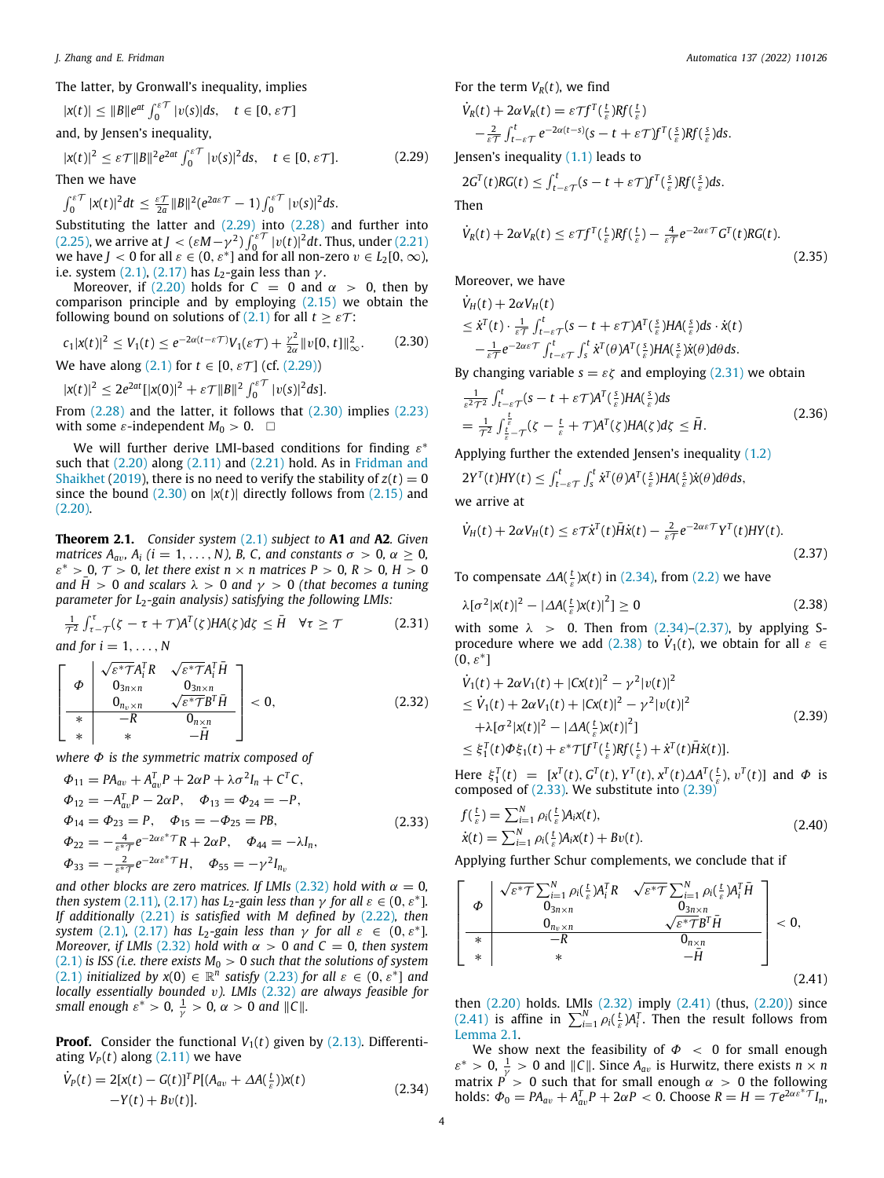The latter, by Gronwall's inequality, implies

$$
|x(t)| \le ||B||e^{at} \int_0^{s\mathcal{T}} |v(s)| ds, \quad t \in [0, \varepsilon \mathcal{T}]
$$
  
and, by Jensen's inequality,

$$
|x(t)|^2 \le \varepsilon \mathcal{T} ||B||^2 e^{2at} \int_0^{\varepsilon} |v(s)|^2 ds, \quad t \in [0, \varepsilon \mathcal{T}].
$$
 (2.29)

Then we have

 $\int_0^{\varepsilon} \int_0^{\varepsilon} |x(t)|^2 dt \leq \frac{\varepsilon \mathcal{T}}{2a} ||B||^2 (e^{2a\varepsilon \mathcal{T}} - 1) \int_0^{\varepsilon \mathcal{T}} |v(s)|^2 ds.$ 

Substituting the latter and ([2.29\)](#page-3-0) into [\(2.28\)](#page-2-8) and further into ([2.25](#page-2-9)), we arrive at *J* < ( $\varepsilon M - \gamma^2$ )  $\int_0^{\varepsilon T} |v(t)|^2 dt$ . Thus, under [\(2.21\)](#page-2-10) we have *J* < 0 for all  $\varepsilon \in (0, \varepsilon^*]$  and for all non-zero  $v \in L_2[0, \infty)$ , i.e. system  $(2.1)$ ,  $(2.17)$  has  $L_2$ -gain less than  $\gamma$ .

Moreover, if  $(2.20)$  holds for  $C = 0$  and  $\alpha > 0$ , then by comparison principle and by employing  $(2.15)$  $(2.15)$  we obtain the following bound on solutions of [\(2.1\)](#page-1-0) for all  $t \geq \varepsilon \tau$ :

$$
c_1 |x(t)|^2 \le V_1(t) \le e^{-2\alpha(t-\varepsilon)} V_1(\varepsilon) + \frac{\gamma^2}{2\alpha} ||v[0, t]||_{\infty}^2. \tag{2.30}
$$
  
We have along (2.1) for  $t \in [0, \varepsilon \mathcal{T}]$  (cf. (2.29))

 $|x(t)|^2 \leq 2e^{2at} [|x(0)|^2 + \varepsilon \mathcal{T} ||B||^2 \int_0^{\varepsilon \mathcal{T}} |v(s)|^2 ds].$ 

From [\(2.28\)](#page-2-8) and the latter, it follows that [\(2.30\)](#page-3-1) implies [\(2.23\)](#page-2-12) with some  $\varepsilon$ -independent  $M_0 > 0$ .  $\Box$ 

We will further derive LMI-based conditions for finding  $\varepsilon^*$ such that  $(2.20)$  $(2.20)$  $(2.20)$  along  $(2.11)$  and  $(2.21)$  $(2.21)$  hold. As in [Fridman and](#page-8-18) [Shaikhet](#page-8-18) [\(2019](#page-8-18)), there is no need to verify the stability of  $z(t) = 0$ since the bound  $(2.30)$  on  $|x(t)|$  directly follows from  $(2.15)$  $(2.15)$  $(2.15)$  and ([2.20](#page-2-2)).

<span id="page-3-12"></span>**Theorem 2.1.** *Consider system* [\(2.1](#page-1-0)) *subject to* **A1** *and* **A2***. Given matrices*  $A_{av}$ *,*  $A_i$  ( $i = 1, ..., N$ *),* B, C, and constants  $\sigma > 0$ ,  $\alpha \ge 0$ ,  $\varepsilon^* > 0$ ,  $\mathcal{T} > 0$ , let there exist  $n \times n$  matrices  $P > 0$ ,  $R > 0$ ,  $H > 0$ *and*  $\overline{H} > 0$  *and scalars*  $\lambda > 0$  *and*  $\gamma > 0$  *(that becomes a tuning parameter for L*<sub>2</sub>-gain analysis) satisfying the following LMIs:

$$
\frac{1}{\tau^2} \int_{\tau-\tau}^{\tau} (\zeta - \tau + \tau) A^T(\zeta) H A(\zeta) d\zeta \le \bar{H} \quad \forall \tau \ge \tau \tag{2.31}
$$

*and for i* = 1,  $\dots$ , *N* 

$$
\left[\begin{array}{c|c}\n\varphi & \sqrt{\varepsilon^* \mathcal{T}} A_i^T R & \sqrt{\varepsilon^* \mathcal{T}} A_i^T \bar{H} \\
\hline\n\varphi & 0_{3n \times n} & 0_{3n \times n} \\
0_{n_\nu \times n} & \sqrt{\varepsilon^* \mathcal{T}} B^T \bar{H} \\
\hline\n\ast & -R & 0_{n \times n} \\
\ast & \ast & -\bar{H}\n\end{array}\right] < 0,\n\tag{2.32}
$$

*where* Φ *is the symmetric matrix composed of*

$$
\Phi_{11} = PA_{av} + A_{av}^T P + 2\alpha P + \lambda \sigma^2 I_n + C^T C,
$$
  
\n
$$
\Phi_{12} = -A_{av}^T P - 2\alpha P, \quad \Phi_{13} = \Phi_{24} = -P,
$$
  
\n
$$
\Phi_{14} = \Phi_{23} = P, \quad \Phi_{15} = -\Phi_{25} = PB,
$$
  
\n
$$
\Phi_{22} = -\frac{4}{\varepsilon \sigma \tau} e^{-2\alpha \varepsilon \sigma \tau} R + 2\alpha P, \quad \Phi_{44} = -\lambda I_n,
$$
  
\n
$$
\Phi_{33} = -\frac{2}{\varepsilon \sigma \tau} e^{-2\alpha \varepsilon \sigma \tau} H, \quad \Phi_{55} = -\gamma^2 I_{n_v}
$$
\n(2.33)

*and other blocks are zero matrices. If LMIs* [\(2.32\)](#page-3-2) *hold with*  $\alpha = 0$ , *then system* [\(2.11](#page-1-4)), ([2.17](#page-2-0)) *has L*<sub>2</sub>-gain less than  $\gamma$  for all  $\varepsilon \in (0, \varepsilon^*]$ . *If additionally* [\(2.21](#page-2-10)) *is satisfied with M defined by* ([2.22](#page-2-5))*, then system* ([2.1](#page-1-0)), ([2.17\)](#page-2-0) *has*  $L_2$ -gain less than  $\gamma$  for all  $\varepsilon \in (0, \varepsilon^*]$ . *Moreover, if LMIs* ([2.32](#page-3-2)) *hold with*  $\alpha > 0$  *and*  $C = 0$ *, then system*  $(2.1)$  $(2.1)$  $(2.1)$  *is ISS (i.e. there exists M*<sup>0</sup> > 0 *such that the solutions of system*  $(2.1)$  $(2.1)$  $(2.1)$  *initialized by*  $x(0) \in \mathbb{R}^n$  *satisfy* [\(2.23\)](#page-2-12) for all  $\varepsilon \in (0, \varepsilon^*]$  and *locally essentially bounded* v*). LMIs* ([2.32](#page-3-2)) *are always feasible for*  $s$ *mall enough*  $\varepsilon^* > 0$ ,  $\frac{1}{\gamma} > 0$ ,  $\alpha > 0$  and  $||C||$ .

**Proof.** Consider the functional  $V_1(t)$  given by [\(2.13](#page-2-1)). Differentiating  $V_P(t)$  along [\(2.11\)](#page-1-4) we have

$$
\dot{V}_P(t) = 2[x(t) - G(t)]^T P[(A_{av} + \Delta A(\frac{t}{\varepsilon}))x(t) - Y(t) + Bv(t)].
$$
\n(2.34)

For the term  $V_R(t)$ , we find

$$
\dot{V}_R(t) + 2\alpha V_R(t) = \varepsilon \mathcal{T} f^T(\frac{t}{\varepsilon}) R f(\frac{t}{\varepsilon}) \n- \frac{2}{\varepsilon \mathcal{T}} \int_{t-\varepsilon}^t r e^{-2\alpha(t-s)} (s-t+\varepsilon \mathcal{T}) f^T(\frac{s}{\varepsilon}) R f(\frac{s}{\varepsilon}) ds.
$$

<span id="page-3-0"></span>Jensen's inequality  $(1.1)$  $(1.1)$  leads to

$$
2G^{T}(t)RG(t) \leq \int_{t-\varepsilon}^{t} (s-t+\varepsilon \mathcal{T})f^{T}(\frac{s}{\varepsilon})Rf(\frac{s}{\varepsilon})ds.
$$

Then

<span id="page-3-10"></span>
$$
\dot{V}_R(t) + 2\alpha V_R(t) \leq \varepsilon \mathcal{T} f^T(\frac{t}{\varepsilon}) R f(\frac{t}{\varepsilon}) - \frac{4}{\varepsilon \mathcal{T}} e^{-2\alpha \varepsilon \mathcal{T}} G^T(t) R G(t).
$$
\n(2.35)

Moreover, we have

$$
\dot{V}_H(t) + 2\alpha V_H(t)
$$
\n
$$
\leq \dot{x}^T(t) \cdot \frac{1}{\varepsilon T} \int_{t-\varepsilon T}^t (s-t+\varepsilon T) A^T(\frac{s}{\varepsilon}) H A(\frac{s}{\varepsilon}) ds \cdot \dot{x}(t)
$$
\n
$$
- \frac{1}{\varepsilon T} e^{-2\alpha \varepsilon T} \int_{t-\varepsilon T}^t \dot{x}^T(\theta) A^T(\frac{s}{\varepsilon}) H A(\frac{s}{\varepsilon}) \dot{x}(\theta) d\theta ds.
$$

<span id="page-3-1"></span>By changing variable  $s = \varepsilon \zeta$  and employing ([2.31](#page-3-3)) we obtain

$$
\frac{1}{\varepsilon^2 \tau^2} \int_{t-\varepsilon}^t \int_{\varepsilon}^{\varepsilon} f(s-t+\varepsilon \tau) A^T(\frac{s}{\varepsilon}) H A(\frac{s}{\varepsilon}) ds
$$
\n
$$
= \frac{1}{\tau^2} \int_{\frac{t}{\varepsilon} - \tau}^{\frac{t}{\varepsilon}} (\zeta - \frac{t}{\varepsilon} + \tau) A^T(\zeta) H A(\zeta) d\zeta \le \bar{H}.
$$
\n(2.36)

Applying further the extended Jensen's inequality [\(1.2\)](#page-1-9)

$$
2Y^{T}(t)HY(t) \leq \int_{t-\varepsilon\mathcal{T}}^{t} \int_{s}^{t} \dot{x}^{T}(\theta)A^{T}(\frac{s}{\varepsilon})HA(\frac{s}{\varepsilon})\dot{x}(\theta)d\theta ds,
$$

we arrive at

<span id="page-3-5"></span>
$$
\dot{V}_H(t) + 2\alpha V_H(t) \leq \varepsilon \mathcal{T} \dot{\chi}^T(t) \bar{H} \dot{\chi}(t) - \frac{2}{\varepsilon \mathcal{T}} e^{-2\alpha \varepsilon \mathcal{T}} Y^T(t) H Y(t).
$$
\n(2.37)

To compensate  $\Delta A(\frac{t}{\varepsilon})x(t)$  in ([2.34\)](#page-3-4), from [\(2.2\)](#page-1-1) we have

<span id="page-3-6"></span>
$$
\lambda[\sigma^2 |x(t)|^2 - |\Delta A(\tfrac{t}{\varepsilon}) x(t)|^2] \ge 0
$$
\n(2.38)

<span id="page-3-3"></span>with some  $\lambda > 0$ . Then from [\(2.34\)](#page-3-4)–([2.37\)](#page-3-5), by applying S-procedure where we add [\(2.38\)](#page-3-6) to  $V_1(t)$ , we obtain for all  $\varepsilon \in$  $(0,\varepsilon^*]$ 

<span id="page-3-8"></span><span id="page-3-2"></span>
$$
\dot{V}_1(t) + 2\alpha V_1(t) + |Cx(t)|^2 - \gamma^2 |v(t)|^2
$$
\n
$$
\leq \dot{V}_1(t) + 2\alpha V_1(t) + |Cx(t)|^2 - \gamma^2 |v(t)|^2
$$
\n
$$
+ \lambda [\sigma^2 |x(t)|^2 - |\Delta A(\frac{t}{\varepsilon}) x(t)|^2]
$$
\n
$$
\leq \xi_1^T(t) \Phi \xi_1(t) + \varepsilon^* T [f^T(\frac{t}{\varepsilon}) R f(\frac{t}{\varepsilon}) + \dot{x}^T(t) \bar{H} \dot{x}(t)].
$$
\n(2.39)

Here  $\xi_1^T(t) = [x^T(t), G^T(t), Y^T(t), x^T(t) \Delta A^T(\frac{t}{\varepsilon}), v^T(t)]$  and  $\Phi$  is composed of  $(2.33)$  $(2.33)$  $(2.33)$ . We substitute into  $(2.39)$  $(2.39)$  $(2.39)$ 

<span id="page-3-11"></span><span id="page-3-7"></span>
$$
f(\frac{t}{\varepsilon}) = \sum_{i=1}^{N} \rho_i(\frac{t}{\varepsilon}) A_i x(t),
$$
  
 
$$
\dot{x}(t) = \sum_{i=1}^{N} \rho_i(\frac{t}{\varepsilon}) A_i x(t) + Bv(t).
$$
 (2.40)

Applying further Schur complements, we conclude that if

$$
\left[\begin{array}{c|c}\n\Phi & \sqrt{\varepsilon^* \mathcal{T}} \sum_{i=1}^N \rho_i \left(\frac{t}{\varepsilon}\right) A_i^T R & \sqrt{\varepsilon^* \mathcal{T}} \sum_{i=1}^N \rho_i \left(\frac{t}{\varepsilon}\right) A_i^T \bar{H} \\
\hline\n0_{3n \times n} & 0_{3n \times n} & \sqrt{\varepsilon^* \mathcal{T}} B^T \bar{H} \\
\hline\n\ast & -R & 0_{n \times n} \\
\ast & \ast & -\bar{H}\n\end{array}\right] < 0,
$$
\n(2.41)

<span id="page-3-9"></span>then [\(2.20\)](#page-2-2) holds. LMIs ([2.32](#page-3-2)) imply [\(2.41\)](#page-3-9) (thus, ([2.20\)](#page-2-2)) since ([2.41](#page-3-9)) is affine in  $\sum_{i=1}^{N} \rho_i \left( \frac{t}{\varepsilon} \right) A_i^T$ . Then the result follows from [Lemma](#page-2-13) [2.1](#page-2-13).

<span id="page-3-4"></span>We show next the feasibility of  $\Phi$  < 0 for small enough  $\varepsilon^* > 0$ ,  $\frac{1}{\gamma} > 0$  and  $||C||$ . Since  $A_{av}$  is Hurwitz, there exists  $n \times n$ matrix  $P > 0$  such that for small enough  $\alpha > 0$  the following holds:  $\Phi_0 = PA_{av} + A_{av}^T P + 2\alpha P < 0$ . Choose  $R = H = T e^{2\alpha \epsilon^* T} I_n$ ,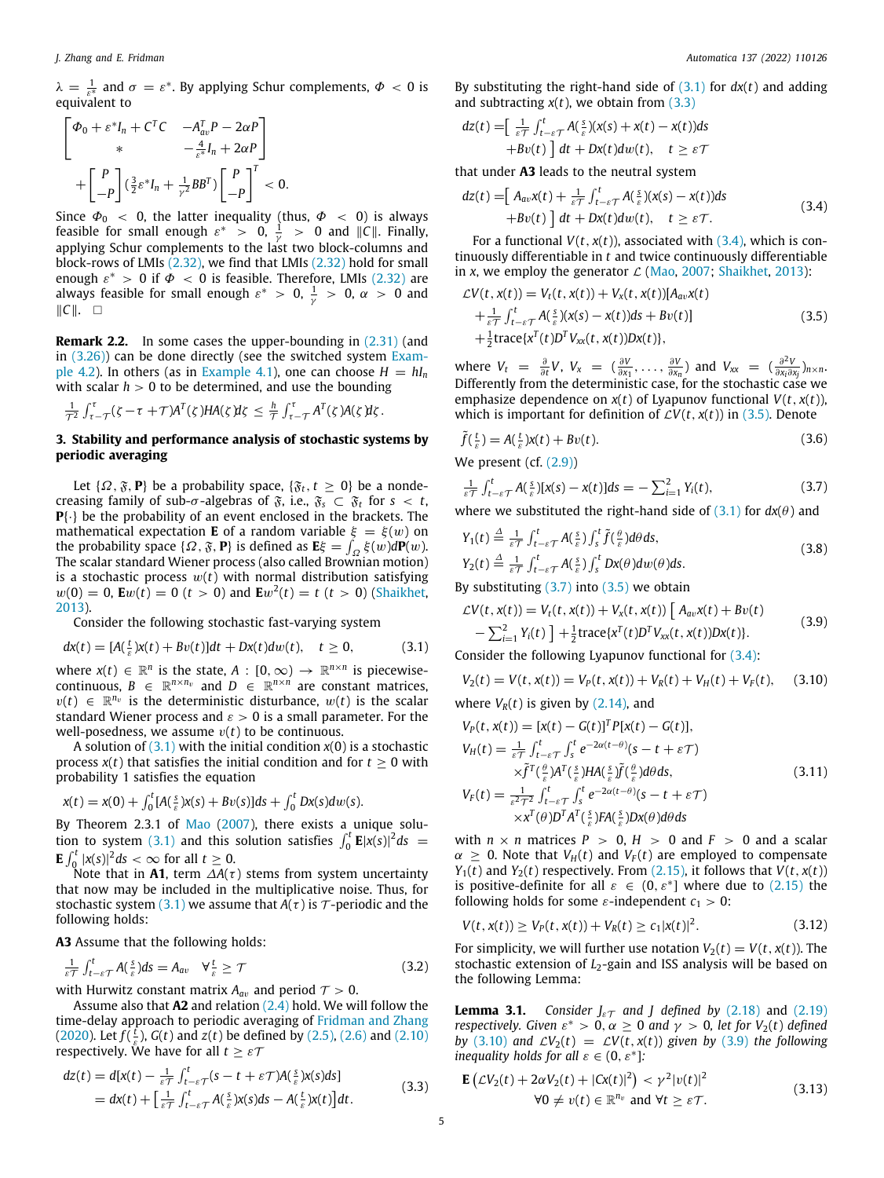$\lambda = \frac{1}{\varepsilon^*}$  and  $\sigma = \varepsilon^*$ . By applying Schur complements,  $\Phi < 0$  is equivalent to

$$
\begin{bmatrix}\n\Phi_0 + \varepsilon^* I_n + C^T C & -A_{av}^T P - 2\alpha P \\
\ast & -\frac{4}{\varepsilon^*} I_n + 2\alpha P\n\end{bmatrix}
$$
\n
$$
+ \begin{bmatrix} P \\ -P \end{bmatrix} (\frac{3}{2} \varepsilon^* I_n + \frac{1}{\gamma^2} B B^T) \begin{bmatrix} P \\ -P \end{bmatrix}^T < 0.
$$

Since  $\varPhi_0$   $\,<\,$  0, the latter inequality (thus,  $\varPhi\,\,<\,$  0) is always feasible for small enough  $\varepsilon^* > 0$ ,  $\frac{1}{\gamma} > 0$  and  $||C||$ . Finally, applying Schur complements to the last two block-columns and block-rows of LMIs [\(2.32\)](#page-3-2), we find that LMIs [\(2.32\)](#page-3-2) hold for small enough  $\varepsilon^* > 0$  if  $\Phi < 0$  is feasible. Therefore, LMIs ([2.32](#page-3-2)) are always feasible for small enough  $\varepsilon^* > 0$ ,  $\frac{1}{\gamma} > 0$ ,  $\alpha > 0$  and ∥*C*∥. □

<span id="page-4-13"></span>**Remark 2.2.** In some cases the upper-bounding in  $(2.31)$  $(2.31)$  $(2.31)$  (and in [\(3.26\)](#page-5-0)) can be done directly (see the switched system [Exam](#page-7-0)[ple](#page-7-0) [4.2](#page-7-0)). In others (as in [Example](#page-6-0) [4.1\)](#page-6-0), one can choose  $H = hI_n$ with scalar  $h > 0$  to be determined, and use the bounding

$$
\tfrac{1}{\mathcal{T}^2}\int_{\tau-\mathcal{T}}^{\tau}(\zeta-\tau+\mathcal{T})A^T(\zeta)HA(\zeta)\mathrm{d}\zeta\,\leq \tfrac{h}{\mathcal{T}}\int_{\tau-\mathcal{T}}^{\tau}A^T(\zeta)A(\zeta)\mathrm{d}\zeta\,.
$$

### **3. Stability and performance analysis of stochastic systems by periodic averaging**

<span id="page-4-0"></span>Let  $\{\Omega, \mathfrak{F}, \mathbf{P}\}\$  be a probability space,  $\{\mathfrak{F}_t, t \geq 0\}$  be a nondecreasing family of sub- $\sigma$ -algebras of  $\tilde{s}$ , i.e.,  $\tilde{s}_s \subset \tilde{s}_t$  for  $s < t$ , **P**{·} be the probability of an event enclosed in the brackets. The mathematical expectation **E** of a random variable  $\xi = \xi(w)$  on the probability space  $\{\Omega, \mathfrak{F}, \mathbf{P}\}\)$  is defined as  $\mathbf{E}\xi = \int_{\Omega} \xi(w) d\mathbf{P}(w)$ . The scalar standard Wiener process (also called Brownian motion) is a stochastic process  $w(t)$  with normal distribution satisfying  $w(0) = 0$ ,  $E w(t) = 0$  (*t* > 0) and  $E w^2(t) = t$  (*t* > 0) [\(Shaikhet,](#page-8-17) [2013\)](#page-8-17).

Consider the following stochastic fast-varying system

$$
dx(t) = [A(\frac{t}{\varepsilon})x(t) + Bv(t)]dt + Dx(t)dw(t), \quad t \ge 0,
$$
\n(3.1)

where  $x(t) \in \mathbb{R}^n$  is the state,  $A : [0, \infty) \to \mathbb{R}^{n \times n}$  is piecewisecontinuous,  $B \in \mathbb{R}^{n \times n_v}$  and  $D \in \mathbb{R}^{n \times n}$  are constant matrices,  $v(t) \in \mathbb{R}^{n_v}$  is the deterministic disturbance,  $w(t)$  is the scalar standard Wiener process and  $\varepsilon > 0$  is a small parameter. For the well-posedness, we assume  $v(t)$  to be continuous.

A solution of  $(3.1)$  $(3.1)$  $(3.1)$  with the initial condition  $x(0)$  is a stochastic process  $x(t)$  that satisfies the initial condition and for  $t > 0$  with probability 1 satisfies the equation

$$
x(t) = x(0) + \int_0^t [A(\frac{s}{\varepsilon})x(s) + Bv(s)]ds + \int_0^t DX(s)dw(s).
$$

By Theorem 2.3.1 of [Mao](#page-8-16) [\(2007\)](#page-8-16), there exists a unique solu-tion to system [\(3.1\)](#page-4-1) and this solution satisfies  $\int_0^t$  **E**| $x(s)$ |<sup>2</sup> $ds$  =  $\mathbf{E} \int_0^t |x(s)|^2 ds < \infty$  for all  $t \geq 0$ .

Note that in **A1**, term  $\Delta A(\tau)$  stems from system uncertainty that now may be included in the multiplicative noise. Thus, for stochastic system [\(3.1\)](#page-4-1) we assume that  $A(\tau)$  is  $\tau$ -periodic and the following holds:

**A3** Assume that the following holds:

$$
\frac{1}{\varepsilon\tau} \int_{t-\varepsilon\tau}^{t} A(\frac{s}{\varepsilon}) ds = A_{av} \quad \forall \frac{t}{\varepsilon} \ge \tau \tag{3.2}
$$

with Hurwitz constant matrix  $A_{av}$  and period  $T > 0$ .

Assume also that **A2** and relation [\(2.4\)](#page-1-10) hold. We will follow the time-delay approach to periodic averaging of [Fridman and Zhang](#page-8-14) ([2020\)](#page-8-14). Let  $f(\frac{t}{\varepsilon})$ ,  $G(t)$  and  $z(t)$  be defined by [\(2.5\)](#page-1-7), [\(2.6\)](#page-1-6) and [\(2.10\)](#page-1-11) respectively. We have for all  $t \geq \varepsilon \mathcal{T}$ 

$$
dz(t) = d[x(t) - \frac{1}{\varepsilon T} \int_{t-\varepsilon T}^{t} (s - t + \varepsilon T) A(\frac{s}{\varepsilon}) x(s) ds]
$$
  
=  $dx(t) + \left[ \frac{1}{\varepsilon T} \int_{t-\varepsilon T}^{t} A(\frac{s}{\varepsilon}) x(s) ds - A(\frac{t}{\varepsilon}) x(t) \right] dt.$  (3.3)

By substituting the right-hand side of ([3.1](#page-4-1)) for *dx*(*t*) and adding and subtracting  $x(t)$ , we obtain from  $(3.3)$ 

$$
dz(t) = \left[\frac{1}{\varepsilon \tau} \int_{t-\varepsilon\tau}^{t} A(\frac{s}{\varepsilon}) (x(s) + x(t) - x(t)) ds + Bv(t)\right] dt + Dx(t) dw(t), \quad t \geq \varepsilon \tau
$$

that under **A3** leads to the neutral system

<span id="page-4-3"></span>
$$
dz(t) = \left[A_{av}x(t) + \frac{1}{\varepsilon T}\int_{t-\varepsilon T}^{t} A(\frac{s}{\varepsilon})(x(s) - x(t))ds + Bv(t)\right]dt + Dx(t)dw(t), \quad t \geq \varepsilon T.
$$
\n(3.4)

For a functional  $V(t, x(t))$ , associated with  $(3.4)$ , which is continuously differentiable in *t* and twice continuously differentiable in *x*, we employ the generator  $\mathcal{L}$  [\(Mao,](#page-8-16) [2007;](#page-8-16) [Shaikhet,](#page-8-17) [2013\)](#page-8-17):

<span id="page-4-4"></span>
$$
\mathcal{L}V(t, x(t)) = V_t(t, x(t)) + V_x(t, x(t)) [A_{av}x(t)
$$
  
+  $\frac{1}{\varepsilon \tau} \int_{t-\varepsilon \tau}^t A(\frac{s}{\varepsilon}) (x(s) - x(t)) ds + Bv(t)]$   
+  $\frac{1}{2}$ trace{ $x^T(t)D^T V_{xx}(t, x(t))Dx(t)$ }, (3.5)

where  $V_t = \frac{\partial}{\partial t} V$ ,  $V_x = (\frac{\partial V}{\partial x_1}, \dots, \frac{\partial V}{\partial x_n})$  and  $V_{xx} = (\frac{\partial^2 V}{\partial x_i \partial x_i})$  $\frac{\partial^- v}{\partial x_i \partial x_j}$ )*n*×*n*. Differently from the deterministic case, for the stochastic case we emphasize dependence on  $x(t)$  of Lyapunov functional  $V(t, x(t))$ , which is important for definition of  $\mathcal{L}V(t, x(t))$  in ([3.5](#page-4-4)). Denote

$$
\tilde{f}(\frac{t}{\varepsilon}) = A(\frac{t}{\varepsilon})x(t) + Bv(t).
$$
\n(3.6)

We present (cf.  $(2.9)$  $(2.9)$  $(2.9)$ )

<span id="page-4-9"></span><span id="page-4-5"></span>
$$
\frac{1}{\varepsilon\tau}\int_{t-\varepsilon}^{t} A(\frac{s}{\varepsilon})[x(s)-x(t)]ds = -\sum_{i=1}^{2} Y_i(t),
$$
\n(3.7)

where we substituted the right-hand side of  $(3.1)$  $(3.1)$  $(3.1)$  for  $dx(\theta)$  and

$$
Y_1(t) \stackrel{\Delta}{=} \frac{1}{\varepsilon \tau} \int_{t-\varepsilon\tau}^t A(\frac{s}{\varepsilon}) \int_s^t \tilde{f}(\frac{\theta}{\varepsilon}) d\theta ds,
$$
  
\n
$$
Y_2(t) \stackrel{\Delta}{=} \frac{1}{\varepsilon \tau} \int_{t-\varepsilon\tau}^t A(\frac{s}{\varepsilon}) \int_s^t Dx(\theta) dw(\theta) ds.
$$
\n(3.8)

By substituting  $(3.7)$  $(3.7)$  $(3.7)$  into  $(3.5)$  we obtain

<span id="page-4-7"></span>
$$
\mathcal{L}V(t, x(t)) = V_t(t, x(t)) + V_x(t, x(t)) [A_{av}x(t) + Bv(t) - \sum_{i=1}^2 Y_i(t)] + \frac{1}{2} \text{trace}\{x^T(t)D^T V_{xx}(t, x(t))Dx(t)\}.
$$
\n(3.9)

<span id="page-4-1"></span>Consider the following Lyapunov functional for [\(3.4\)](#page-4-3):

<span id="page-4-6"></span>
$$
V_2(t) = V(t, x(t)) = V_P(t, x(t)) + V_R(t) + V_H(t) + V_F(t), \quad (3.10)
$$

where  $V_R(t)$  is given by  $(2.14)$  $(2.14)$  $(2.14)$ , and

$$
V_P(t, x(t)) = [x(t) - G(t)]^T P[x(t) - G(t)],
$$
  
\n
$$
V_H(t) = \frac{1}{\varepsilon \tau} \int_{t-\varepsilon \tau}^t \int_s^t e^{-2\alpha(t-\theta)} (s - t + \varepsilon \tau)
$$
  
\n
$$
\times \tilde{f}^T(\frac{\theta}{\varepsilon}) A^T(\frac{s}{\varepsilon}) H A(\frac{s}{\varepsilon}) \tilde{f}(\frac{\theta}{\varepsilon}) d\theta ds,
$$
  
\n
$$
V_F(t) = \frac{1}{\varepsilon^2 \tau^2} \int_{t-\varepsilon}^t \tau \int_s^t e^{-2\alpha(t-\theta)} (s - t + \varepsilon \tau)
$$
\n(3.11)

<span id="page-4-11"></span>
$$
\times x^T(\theta)D^T A^T(\frac{s}{\varepsilon})FA(\frac{s}{\varepsilon})Dx(\theta)d\theta ds
$$

with  $n \times n$  matrices  $P > 0$ ,  $H > 0$  and  $F > 0$  and a scalar  $\alpha > 0$ . Note that  $V_H(t)$  and  $V_F(t)$  are employed to compensate *Y*<sub>1</sub>(*t*) and *Y*<sub>2</sub>(*t*) respectively. From [\(2.15](#page-2-11)), it follows that *V*(*t*, *x*(*t*)) is positive-definite for all  $\varepsilon \in (0, \varepsilon^*]$  where due to ([2.15](#page-2-11)) the following holds for some  $\varepsilon$ -independent  $c_1 > 0$ :

<span id="page-4-10"></span>
$$
V(t, x(t)) \ge V_P(t, x(t)) + V_R(t) \ge c_1 |x(t)|^2.
$$
 (3.12)

For simplicity, we will further use notation  $V_2(t) = V(t, x(t))$ . The stochastic extension of *L*2-gain and ISS analysis will be based on the following Lemma:

<span id="page-4-12"></span>**Lemma 3.1.** *Consider*  $J_{\varepsilon\mathcal{T}}$  *and J* defined by ([2.18](#page-2-15)) and [\(2.19\)](#page-2-16) *respectively. Given*  $\varepsilon^* > 0$ ,  $\alpha \geq 0$  *and*  $\gamma > 0$ , *let for*  $V_2(t)$  *defined by* [\(3.10\)](#page-4-6) *and*  $\mathcal{L}V_2(t) = \mathcal{L}V(t, x(t))$  *given by* ([3.9](#page-4-7)) *the following inequality holds for all*  $\varepsilon \in (0, \varepsilon^*]$ :

<span id="page-4-8"></span><span id="page-4-2"></span>
$$
\mathbf{E}\left(\mathcal{L}V_2(t) + 2\alpha V_2(t) + |Cx(t)|^2\right) < \gamma^2 |v(t)|^2
$$
  
 
$$
\forall 0 \neq v(t) \in \mathbb{R}^{n_v} \text{ and } \forall t \geq \varepsilon \mathcal{T}.
$$
 (3.13)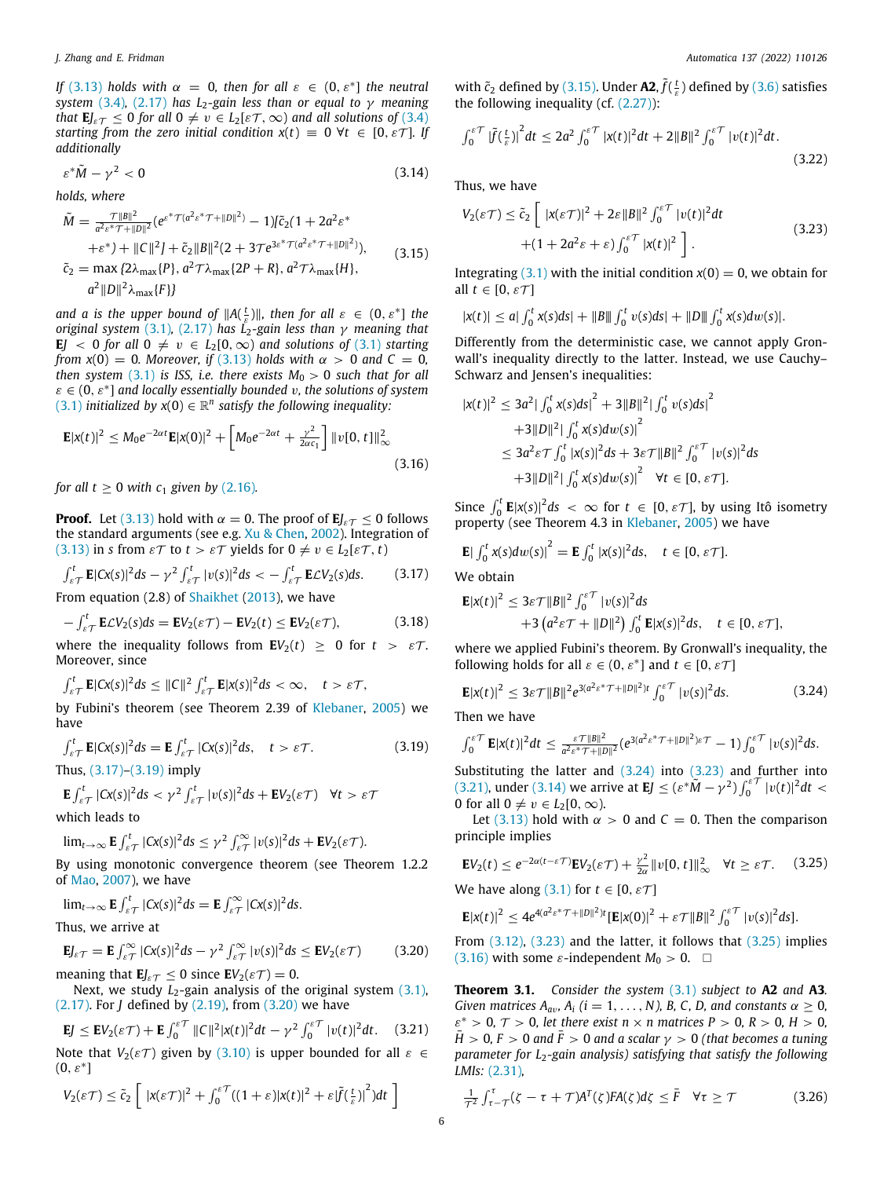*If* ([3.13\)](#page-4-8) *holds* with  $\alpha = 0$ , *then for all*  $\varepsilon \in (0, \varepsilon^*]$  *the neutral system* ([3.4](#page-4-3))*,* ([2.17](#page-2-0)) *has L*2*-gain less than or equal to* γ *meaning that*  $\mathbf{E} J_{\varepsilon T} \leq 0$  *for all*  $0 \neq v \in L_2[\varepsilon T, \infty)$  *and all solutions of* [\(3.4\)](#page-4-3) *starting from the zero initial condition*  $x(t) = 0 \ \forall t \in [0, \varepsilon \mathcal{T}]$ *. If additionally*

$$
\varepsilon^* \tilde{M} - \gamma^2 < 0 \tag{3.14}
$$

*holds, where*

$$
\tilde{M} = \frac{\tau ||B||^2}{a^2 \varepsilon^* \tau + ||D||^2} (e^{\varepsilon^* \tau (a^2 \varepsilon^* \tau + ||D||^2)} - 1) [\tilde{c}_2 (1 + 2a^2 \varepsilon^* + \varepsilon^*) + ||C||^2] + \tilde{c}_2 ||B||^2 (2 + 3\tau e^{3\varepsilon^* \tau (a^2 \varepsilon^* \tau + ||D||^2)}),
$$
\n
$$
\tilde{c}_2 = \max \{ 2\lambda_{\max} \{ P \}, a^2 \tau \lambda_{\max} \{ 2P + R \}, a^2 \tau \lambda_{\max} \{ H \},
$$
\n
$$
a^2 ||D||^2 \lambda_{\max} \{ F \} \}
$$
\n(3.15)

*and a is the upper bound of*  $||A(\frac{t}{\varepsilon})||$ *, then for all*  $\varepsilon \in (0, \varepsilon^*]$  *the original system* ([3.1](#page-4-1))*,* ([2.17\)](#page-2-0) *has L*2*-gain less than* γ *meaning that* **E** $J \leq 0$  *for all*  $0 \neq v \in L_2[0,\infty)$  *and solutions of*  $(3.1)$  *starting from*  $x(0) = 0$ *. Moreover, if* ([3.13](#page-4-8)) *holds with*  $\alpha > 0$  *and*  $C = 0$ *, then system* ([3.1](#page-4-1)) *is ISS, i.e. there exists*  $M_0 > 0$  *such that for all*  $\varepsilon \in (0, \varepsilon^*]$  and locally essentially bounded v, the solutions of system  $(3.1)$  $(3.1)$  $(3.1)$  *initialized by*  $x(0) \in \mathbb{R}^n$  satisfy the following inequality:

$$
\mathbf{E}|x(t)|^2 \leq M_0 e^{-2\alpha t} \mathbf{E}|x(0)|^2 + \left[M_0 e^{-2\alpha t} + \frac{\gamma^2}{2\alpha c_1}\right] ||v[0, t]||_{\infty}^2
$$
\n(3.16)

*for all t*  $\geq$  0 *with c<sub>1</sub> given by ([2.16](#page-2-3)).* 

**Proof.** Let [\(3.13\)](#page-4-8) hold with  $\alpha = 0$ . The proof of  $\mathbf{E} J_{\varepsilon T} \leq 0$  follows the standard arguments (see e.g. [Xu & Chen](#page-8-23), [2002\)](#page-8-23). Integration of ([3.13](#page-4-8)) in *s* from  $\epsilon \tau$  to  $t > \epsilon \tau$  yields for  $0 \neq v \in L_2[\epsilon \tau, t]$ 

$$
\int_{\varepsilon}^{t} \mathbf{E} |C\mathbf{x}(s)|^2 ds - \gamma^2 \int_{\varepsilon}^{t} |v(s)|^2 ds < -\int_{\varepsilon}^{t} \mathbf{E} C V_2(s) ds. \tag{3.17}
$$

From equation (2.8) of [Shaikhet](#page-8-17) ([2013\)](#page-8-17), we have

$$
-\int_{\varepsilon\mathcal{T}}^{t} \mathbf{E}\mathcal{L}V_2(s)ds = \mathbf{E}V_2(\varepsilon\mathcal{T}) - \mathbf{E}V_2(t) \le \mathbf{E}V_2(\varepsilon\mathcal{T}),
$$
 (3.18)

where the inequality follows from  $\mathbf{E}V_2(t) \geq 0$  for  $t > \varepsilon \mathcal{T}$ . Moreover, since

$$
\int_{\varepsilon\mathcal{T}}^t \mathbf{E} |Cx(s)|^2 ds \leq ||C||^2 \int_{\varepsilon\mathcal{T}}^t \mathbf{E} |x(s)|^2 ds < \infty, \quad t > \varepsilon \mathcal{T},
$$

by Fubini's theorem (see Theorem 2.39 of [Klebaner,](#page-8-24) [2005](#page-8-24)) we have

$$
\int_{\varepsilon\mathcal{T}}^{t} \mathbf{E} |Cx(s)|^2 ds = \mathbf{E} \int_{\varepsilon\mathcal{T}}^{t} |Cx(s)|^2 ds, \quad t > \varepsilon \mathcal{T}.
$$
 (3.19)

Thus, ([3.17](#page-5-1))–([3.19](#page-5-2)) imply

$$
\mathbf{E} \int_{\varepsilon \mathcal{T}}^t |Cx(s)|^2 ds < \gamma^2 \int_{\varepsilon \mathcal{T}}^t |v(s)|^2 ds + \mathbf{E} V_2(\varepsilon \mathcal{T}) \quad \forall t > \varepsilon \mathcal{T}
$$

which leads to

$$
\lim_{t\to\infty} \mathbf{E} \int_{\varepsilon\mathcal{T}}^t |Cx(s)|^2 ds \leq \gamma^2 \int_{\varepsilon\mathcal{T}}^\infty |v(s)|^2 ds + \mathbf{E} V_2(\varepsilon\mathcal{T}).
$$

By using monotonic convergence theorem (see Theorem 1.2.2 of [Mao,](#page-8-16) [2007](#page-8-16)), we have

$$
\lim_{t\to\infty} \mathbf{E} \int_{\varepsilon\mathcal{T}}^t |Cx(s)|^2 ds = \mathbf{E} \int_{\varepsilon\mathcal{T}}^\infty |Cx(s)|^2 ds.
$$

Thus, we arrive at

$$
\mathbf{E}J_{\varepsilon}\tau = \mathbf{E}\int_{\varepsilon\tau}^{\infty} |Cx(s)|^2 ds - \gamma^2 \int_{\varepsilon\tau}^{\infty} |v(s)|^2 ds \leq \mathbf{E}V_2(\varepsilon\tau)
$$
(3.20)

meaning that  $\mathbf{E}J_{\varepsilon\mathcal{T}} \leq 0$  since  $\mathbf{E}V_2(\varepsilon\mathcal{T}) = 0$ .

Next, we study  $L_2$ -gain analysis of the original system  $(3.1)$ , ([2.17](#page-2-0)). For *J* defined by ([2.19\)](#page-2-16), from [\(3.20](#page-5-3)) we have

$$
\mathbf{E}J \leq \mathbf{E}V_2(\varepsilon\mathcal{T}) + \mathbf{E}\int_0^{\varepsilon\mathcal{T}} ||C||^2 |x(t)|^2 dt - \gamma^2 \int_0^{\varepsilon\mathcal{T}} |v(t)|^2 dt. \quad (3.21)
$$

Note that  $V_2(\varepsilon \mathcal{T})$  given by [\(3.10\)](#page-4-6) is upper bounded for all  $\varepsilon \in$  $(0, \varepsilon^*]$ 

$$
V_2(\varepsilon \mathcal{T}) \leq \tilde{c}_2 \left[ \left| x(\varepsilon \mathcal{T}) \right|^2 + \int_0^{\varepsilon \mathcal{T}} ((1+\varepsilon)|x(t)|^2 + \varepsilon |\tilde{f}(\tfrac{t}{\varepsilon})|^2) dt \right]
$$

with  $\tilde{c}_2$  defined by [\(3.15\)](#page-5-4). Under **A2**,  $\tilde{f}(\frac{t}{\varepsilon})$  defined by [\(3.6\)](#page-4-9) satisfies the following inequality (cf.  $(2.27)$  $(2.27)$  $(2.27)$ ):

$$
\int_0^{\varepsilon} \int_0^{\tau} \left| \tilde{f}(\frac{t}{\varepsilon}) \right|^2 dt \le 2a^2 \int_0^{\varepsilon} \int_0^{\varepsilon} |x(t)|^2 dt + 2\|B\|^2 \int_0^{\varepsilon} \int_0^{\varepsilon} |v(t)|^2 dt. \tag{3.22}
$$

<span id="page-5-8"></span>Thus, we have

<span id="page-5-6"></span>
$$
V_2(\varepsilon \mathcal{T}) \le \tilde{c}_2 \left[ \ |x(\varepsilon \mathcal{T})|^2 + 2\varepsilon \|B\|^2 \int_0^{\varepsilon} |v(t)|^2 dt \right. \\ \left. + (1 + 2a^2 \varepsilon + \varepsilon) \int_0^{\varepsilon} |x(t)|^2 \right]. \tag{3.23}
$$

<span id="page-5-4"></span>Integrating [\(3.1\)](#page-4-1) with the initial condition  $x(0) = 0$ , we obtain for all  $t \in [0, \varepsilon \mathcal{T}]$ 

$$
|x(t)| \leq a | \int_0^t x(s) ds | + \|B\| \int_0^t v(s) ds | + \|D\| \int_0^t x(s) dw(s) |.
$$

Differently from the deterministic case, we cannot apply Gronwall's inequality directly to the latter. Instead, we use Cauchy– Schwarz and Jensen's inequalities:

$$
|x(t)|^2 \le 3a^2 |\int_0^t x(s)ds|^2 + 3||B||^2 |\int_0^t v(s)ds|^2
$$
  
+3||D||^2 |\int\_0^t x(s)dw(s)|^2  

$$
\le 3a^2 \varepsilon \mathcal{T} \int_0^t |x(s)|^2 ds + 3\varepsilon \mathcal{T} ||B||^2 \int_0^{\varepsilon} |v(s)|^2 ds
$$
  
+3||D||^2 |\int\_0^t x(s)dw(s)|^2 \quad \forall t \in [0, \varepsilon \mathcal{T}].

<span id="page-5-10"></span>Since  $\int_0^t \mathbf{E} |x(s)|^2 ds < \infty$  for  $t \in [0, \varepsilon \mathcal{T}]$ , by using Itô isometry property (see Theorem 4.3 in [Klebaner,](#page-8-24) [2005](#page-8-24)) we have

$$
\mathbf{E}|\int_0^t x(s)dw(s)|^2 = \mathbf{E}\int_0^t |x(s)|^2 ds, \quad t \in [0, \varepsilon \mathcal{T}].
$$

<span id="page-5-1"></span>We obtain

$$
\mathbf{E}|x(t)|^2 \leq 3\varepsilon \mathcal{T} ||B||^2 \int_0^{\varepsilon \mathcal{T}} |v(s)|^2 ds
$$
  
+3\left(a^2\varepsilon \mathcal{T} + ||D||^2\right) \int\_0^t \mathbf{E}|x(s)|^2 ds, \quad t \in [0, \varepsilon \mathcal{T}],

where we applied Fubini's theorem. By Gronwall's inequality, the following holds for all  $\varepsilon \in (0, \varepsilon^*]$  and  $t \in [0, \varepsilon \mathcal{T}]$ 

$$
\mathbf{E}|x(t)|^2 \leq 3\varepsilon \mathcal{T}||B||^2 e^{3(a^2\varepsilon^* \mathcal{T} + ||D||^2)t} \int_0^{\varepsilon} |v(s)|^2 ds. \tag{3.24}
$$

Then we have

<span id="page-5-2"></span> $\overline{1}$ 

<span id="page-5-5"></span>
$$
\int_0^{\varepsilon\mathcal{T}} \mathbf{E}|x(t)|^2 dt \leq \frac{\varepsilon\mathcal{T}||B||^2}{a^2\varepsilon^*\mathcal{T}+||D||^2}(e^{3(a^2\varepsilon^*\mathcal{T}+||D||^2)\varepsilon\mathcal{T}}-1)\int_0^{\varepsilon\mathcal{T}}|v(s)|^2 ds.
$$

Substituting the latter and  $(3.24)$  $(3.24)$  into  $(3.23)$  and further into ([3.21](#page-5-7)), under ([3.14](#page-5-8)) we arrive at **E***J*  $\leq (ε^* \tilde{M} - \gamma^2) \int_0^{e^*} |v(t)|^2 dt$  < 0 for all  $0 \neq v \in L_2[0,\infty)$ .

Let [\(3.13\)](#page-4-8) hold with  $\alpha > 0$  and  $C = 0$ . Then the comparison principle implies

<span id="page-5-9"></span>
$$
\mathbf{E}V_2(t) \le e^{-2\alpha(t-\varepsilon\mathcal{T})}\mathbf{E}V_2(\varepsilon\mathcal{T}) + \frac{\gamma^2}{2\alpha}||v[0, t]||_{\infty}^2 \quad \forall t \ge \varepsilon\mathcal{T}.
$$
 (3.25)

We have along [\(3.1\)](#page-4-1) for  $t \in [0, \varepsilon \mathcal{T}]$ 

$$
\mathbf{E}|x(t)|^2 \leq 4e^{4(a^2\epsilon^* \mathcal{T} + ||D||^2)t}[\mathbf{E}|x(0)|^2 + \varepsilon \mathcal{T}||B||^2 \int_0^{\varepsilon \mathcal{T}} |v(s)|^2 ds].
$$

<span id="page-5-3"></span>From [\(3.12\)](#page-4-10), [\(3.23](#page-5-6)) and the latter, it follows that ([3.25\)](#page-5-9) implies ([3.16](#page-5-10)) with some  $\varepsilon$ -independent  $M_0 > 0$ .  $\Box$ 

<span id="page-5-11"></span><span id="page-5-7"></span>**Theorem 3.1.** *Consider the system* ([3.1](#page-4-1)) *subject to* **A2** *and* **A3***. Given matrices A*<sub>*av</sub>*,  $A_i$  ( $i = 1, ..., N$ ), B, C, D, and constants  $\alpha \geq 0$ ,</sub>  $\varepsilon^* > 0$ ,  $\mathcal{T} > 0$ , let there exist  $n \times n$  matrices  $P > 0$ ,  $R > 0$ ,  $H > 0$ ,  $H > 0$ ,  $F > 0$  *and*  $F > 0$  *and a scalar*  $\gamma > 0$  *(that becomes a tuning parameter for L*2*-gain analysis) satisfying that satisfy the following LMIs:* [\(2.31\)](#page-3-3)*,*

<span id="page-5-0"></span>
$$
\frac{1}{\tau^2} \int_{\tau-\tau}^{\tau} (\zeta - \tau + \tau) A^T(\zeta) F A(\zeta) d\zeta \leq \bar{F} \quad \forall \tau \geq \tau
$$
\n(3.26)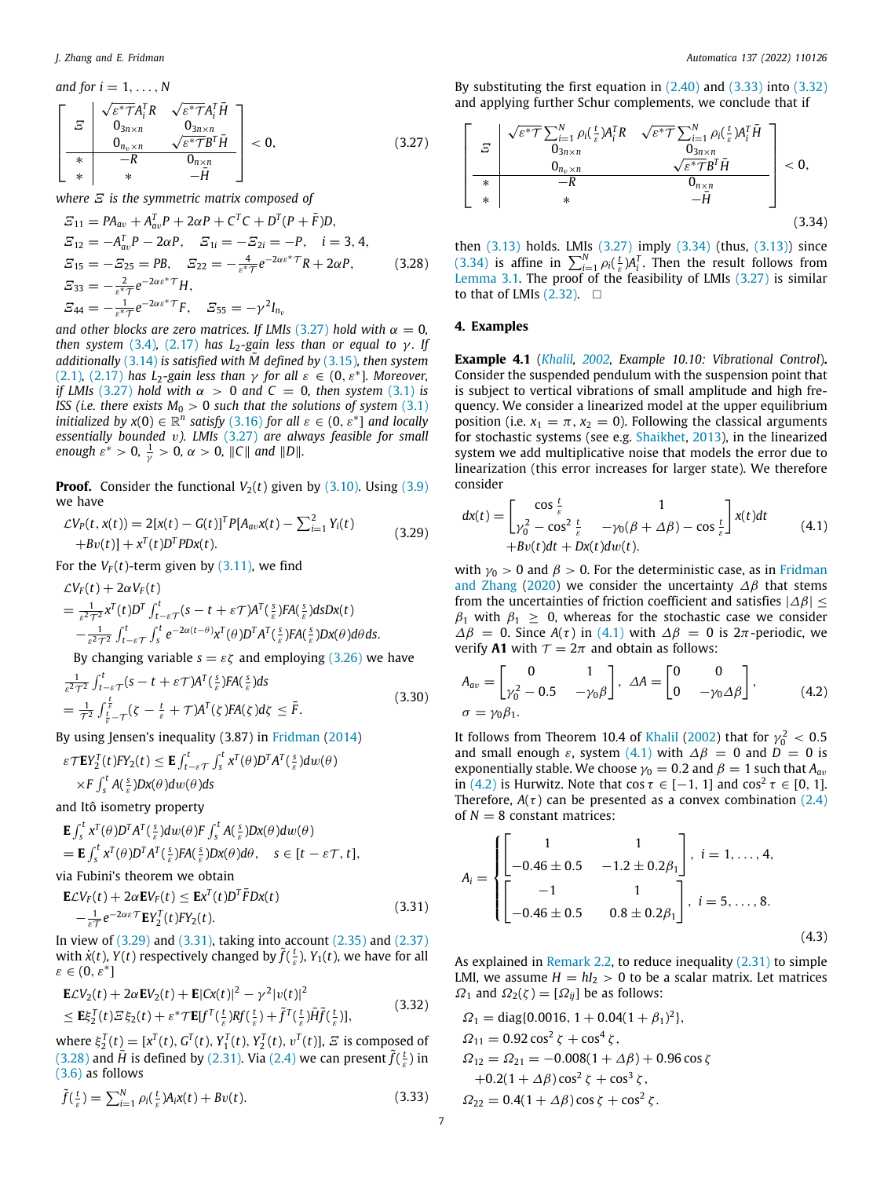and for 
$$
i = 1, ..., N
$$
  
\n
$$
\begin{bmatrix}\n\mathbf{E} & \sqrt{\varepsilon^* \mathcal{T} A_i^T R} & \sqrt{\varepsilon^* \mathcal{T} A_i^T \bar{H}} \\
\mathbf{0}_{3n \times n} & \mathbf{0}_{3n \times n} & \mathbf{0}_{3n \times n} \\
\hline\n\mathbf{0}_{n_v \times n} & \sqrt{\varepsilon^* \mathcal{T} B^T \bar{H}} \\
\hline\n\ast & -R & \mathbf{0}_{n \times n} \\
\ast & \ast & -\bar{H}\n\end{bmatrix} < 0,
$$
\n(3.27)

*where Ξ is the symmetric matrix composed of* 

$$
E_{11} = PA_{av} + A_{av}^{T}P + 2\alpha P + C^{T}C + D^{T}(P + \bar{F})D,
$$
  
\n
$$
E_{12} = -A_{av}^{T}P - 2\alpha P, \quad E_{1i} = -E_{2i} = -P, \quad i = 3, 4,
$$
  
\n
$$
E_{15} = -E_{25} = PB, \quad E_{22} = -\frac{4}{\varepsilon^{*}T}e^{-2\alpha \varepsilon^{*}T}R + 2\alpha P,
$$
  
\n
$$
E_{33} = -\frac{2}{\varepsilon^{*}T}e^{-2\alpha \varepsilon^{*}T}H,
$$
  
\n
$$
E_{44} = -\frac{1}{\varepsilon^{*}T}e^{-2\alpha \varepsilon^{*}T}F, \quad E_{55} = -\gamma^{2}I_{n_{v}}
$$
  
\n(3.28)

*and other blocks are zero matrices. If LMIs* [\(3.27\)](#page-6-1) *hold with*  $\alpha = 0$ , *then system* ([3.4](#page-4-3)), [\(2.17\)](#page-2-0) *has*  $L_2$ -gain less than or equal to  $\gamma$ *.* If *additionally* ([3.14](#page-5-8)) *is satisfied with M* defined by [\(3.15\)](#page-5-4), then system ([2.1](#page-1-0)), ([2.17\)](#page-2-0) *has*  $L_2$ -gain less than  $\gamma$  for all  $\varepsilon \in (0, \varepsilon^*]$ . Moreover, *if LMIs* ([3.27](#page-6-1)) *hold with*  $\alpha > 0$  *and*  $C = 0$ *, then system* ([3.1](#page-4-1)) *is ISS (i.e. there exists*  $M_0 > 0$  *such that the solutions of system* [\(3.1\)](#page-4-1) *initialized by*  $x(0) \in \mathbb{R}^n$  *satisfy* ([3.16\)](#page-5-10) *for all*  $\varepsilon \in (0, \varepsilon^*]$  *and locally essentially bounded* v*). LMIs* [\(3.27\)](#page-6-1) *are always feasible for small enough*  $\varepsilon^* > 0$ ,  $\frac{1}{\gamma} > 0$ ,  $\alpha > 0$ ,  $||C||$  *and*  $||D||$ .

**Proof.** Consider the functional  $V_2(t)$  given by  $(3.10)$  $(3.10)$ . Using  $(3.9)$ we have

$$
\mathcal{L}V_P(t, x(t)) = 2[x(t) - G(t)]^T P[A_{av}x(t) - \sum_{i=1}^2 Y_i(t) + Bv(t)] + x^T(t)D^T P D x(t).
$$
\n(3.29)

For the  $V_F(t)$ -term given by [\(3.11\)](#page-4-11), we find

$$
\mathcal{L}V_F(t) + 2\alpha V_F(t)
$$
\n
$$
= \frac{1}{\varepsilon^2 \tau^2} x^T(t) D^T \int_{t-\varepsilon}^t \tau(s-t+\varepsilon \tau) A^T(\frac{s}{\varepsilon}) F A(\frac{s}{\varepsilon}) ds Dx(t)
$$
\n
$$
- \frac{1}{\varepsilon^2 \tau^2} \int_{t-\varepsilon \tau}^t \int_s^t e^{-2\alpha(t-\theta)} x^T(\theta) D^T A^T(\frac{s}{\varepsilon}) F A(\frac{s}{\varepsilon}) Dx(\theta) d\theta ds.
$$
\nBut changing (3.36) we have

By changing variable  $s = \varepsilon \zeta$  and employing ([3.26](#page-5-0)) we have

$$
\frac{1}{\varepsilon^2 \tau^2} \int_{t-\varepsilon}^t \int_{-\varepsilon}^t (s-t+\varepsilon \tau) A^T(\frac{s}{\varepsilon}) F A(\frac{s}{\varepsilon}) ds
$$
\n
$$
= \frac{1}{\tau^2} \int_{\frac{t}{\varepsilon} - \tau}^{\frac{t}{\varepsilon}} (\zeta - \frac{t}{\varepsilon} + \tau) A^T(\zeta) F A(\zeta) d\zeta \leq \bar{F}.
$$
\n(3.30)

By using Jensen's inequality (3.87) in [Fridman](#page-8-15) ([2014\)](#page-8-15)

$$
\varepsilon \mathcal{T} \mathbf{E} Y_2^T(t) F Y_2(t) \leq \mathbf{E} \int_{t-\varepsilon}^t \int_s^t x^T(\theta) D^T A^T(\frac{s}{\varepsilon}) dw(\theta)
$$
  
 
$$
\times F \int_s^t A(\frac{s}{\varepsilon}) Dx(\theta) dw(\theta) ds
$$

and Itô isometry property

**E**  $\int_{s}^{t} x^{T}(\theta) D^{T} A^{T}(\frac{s}{\epsilon}) dw(\theta) F \int_{s}^{t} A(\frac{s}{\epsilon}) Dx(\theta) dw(\theta)$  $=$  **E** $\int_{s}^{t} x^{T}(\theta)D^{T}A^{T}(\frac{s}{\epsilon})FA(\frac{s}{\epsilon})Dx(\theta)d\theta$ ,  $s \in [t - \varepsilon \tau, t],$ 

via Fubini's theorem we obtain

$$
\mathbf{E}\mathcal{L}V_F(t) + 2\alpha \mathbf{E}V_F(t) \le \mathbf{E}\mathbf{x}^T(t)D^T\bar{F}D\mathbf{x}(t)
$$
  
 
$$
-\frac{1}{\varepsilon T}e^{-2\alpha \varepsilon T}\mathbf{E}Y_2^T(t)FY_2(t).
$$
 (3.31)

In view of ([3.29](#page-6-2)) and ([3.31\)](#page-6-3), taking into account [\(2.35\)](#page-3-10) and [\(2.37\)](#page-3-5) with  $\dot{x}(t)$ ,  $Y(t)$  respectively changed by  $\tilde{f}(\frac{t}{\varepsilon})$ ,  $Y_1(t)$ , we have for all  $\varepsilon \in (0,\varepsilon^*]$ 

$$
\mathbf{E}\mathcal{L}V_2(t) + 2\alpha \mathbf{E}V_2(t) + \mathbf{E}[Cx(t)]^2 - \gamma^2 |v(t)|^2
$$
  
\n
$$
\leq \mathbf{E}\xi_2^T(t)\mathcal{E}\xi_2(t) + \varepsilon^* \mathcal{T}\mathbf{E}[f^T(\frac{t}{\varepsilon})Rf(\frac{t}{\varepsilon}) + \tilde{f}^T(\frac{t}{\varepsilon})\bar{H}\tilde{f}(\frac{t}{\varepsilon})],
$$
\n(3.32)

where  $\xi_2^T(t) = [x^T(t), G^T(t), Y_1^T(t), Y_2^T(t), v^T(t)], \, \Sigma$  is composed of ([3.28](#page-6-4)) and  $\bar{H}$  is defined by [\(2.31](#page-3-3)). Via ([2.4](#page-1-10)) we can present  $\tilde{f}(\frac{t}{\varepsilon})$  in ([3.6](#page-4-9)) as follows

$$
\tilde{f}(\frac{t}{\varepsilon}) = \sum_{i=1}^{N} \rho_i(\frac{t}{\varepsilon}) A_i x(t) + Bv(t).
$$
\n(3.33)

By substituting the first equation in  $(2.40)$  $(2.40)$  $(2.40)$  and  $(3.33)$  $(3.33)$  into  $(3.32)$ and applying further Schur complements, we conclude that if

<span id="page-6-1"></span>
$$
\begin{bmatrix}\n\boldsymbol{\Sigma} & \sqrt{\varepsilon^* \mathcal{T}} \sum_{i=1}^N \rho_i (\frac{t}{\varepsilon}) A_i^T R & \sqrt{\varepsilon^* \mathcal{T}} \sum_{i=1}^N \rho_i (\frac{t}{\varepsilon}) A_i^T \bar{H} \\
0_{3n \times n} & 0_{3n \times n} \\
\hline\n\ast & -R & 0_{n \times n} \\
\ast & \ast & -\bar{H}\n\end{bmatrix} < 0,
$$
\n(3.34)

<span id="page-6-7"></span><span id="page-6-4"></span>then [\(3.13\)](#page-4-8) holds. LMIs ([3.27](#page-6-1)) imply [\(3.34\)](#page-6-7) (thus, ([3.13\)](#page-4-8)) since ([3.34](#page-6-7)) is affine in  $\sum_{i=1}^{N} \rho_i(\frac{t}{\varepsilon}) A_i^T$ . Then the result follows from [Lemma](#page-4-12) [3.1.](#page-4-12) The proof of the feasibility of LMIs ([3.27](#page-6-1)) is similar to that of LMIs  $(2.32)$  $(2.32)$ .  $\square$ 

#### **4. Examples**

<span id="page-6-0"></span>**Example 4.1** (*[Khalil](#page-8-11), [2002,](#page-8-11) Example 10.10: Vibrational Control*)**.** Consider the suspended pendulum with the suspension point that is subject to vertical vibrations of small amplitude and high frequency. We consider a linearized model at the upper equilibrium position (i.e.  $x_1 = \pi$ ,  $x_2 = 0$ ). Following the classical arguments for stochastic systems (see e.g. [Shaikhet](#page-8-17), [2013](#page-8-17)), in the linearized system we add multiplicative noise that models the error due to linearization (this error increases for larger state). We therefore consider

<span id="page-6-8"></span><span id="page-6-2"></span>
$$
dx(t) = \begin{bmatrix} \cos\frac{t}{\varepsilon} & 1\\ \gamma_0^2 - \cos^2\frac{t}{\varepsilon} & -\gamma_0(\beta + \Delta\beta) - \cos\frac{t}{\varepsilon} \end{bmatrix} x(t) dt
$$
  
+ 
$$
Bv(t)dt + Dx(t)dw(t).
$$
 (4.1)

with  $\gamma_0 > 0$  and  $\beta > 0$ . For the deterministic case, as in [Fridman](#page-8-14) [and Zhang](#page-8-14) [\(2020\)](#page-8-14) we consider the uncertainty  $\Delta \beta$  that stems from the uncertainties of friction coefficient and satisfies  $|\Delta \beta|$  ≤  $\beta_1$  with  $\beta_1 \geq 0$ , whereas for the stochastic case we consider  $\Delta \beta = 0$ . Since  $A(\tau)$  in ([4.1](#page-6-8)) with  $\Delta \beta = 0$  is  $2\pi$ -periodic, we verify **A1** with  $T = 2\pi$  and obtain as follows:

<span id="page-6-9"></span>
$$
A_{av} = \begin{bmatrix} 0 & 1 \\ \gamma_0^2 - 0.5 & -\gamma_0 \beta \end{bmatrix}, \ \Delta A = \begin{bmatrix} 0 & 0 \\ 0 & -\gamma_0 \Delta \beta \end{bmatrix}, \qquad (4.2)
$$
  

$$
\sigma = \gamma_0 \beta_1.
$$

It follows from Theorem 10.4 of [Khalil](#page-8-11) [\(2002\)](#page-8-11) that for  $\gamma_0^2 < 0.5$ and small enough  $\varepsilon$ , system ([4.1](#page-6-8)) with  $\Delta \beta = 0$  and  $D = 0$  is exponentially stable. We choose  $\gamma_0 = 0.2$  and  $\beta = 1$  such that  $A_{av}$ in [\(4.2\)](#page-6-9) is Hurwitz. Note that  $\cos \tau \in [-1, 1]$  and  $\cos^2 \tau \in [0, 1]$ . Therefore,  $A(\tau)$  can be presented as a convex combination [\(2.4\)](#page-1-10) of  $N = 8$  constant matrices:

$$
A_{i} = \begin{cases} \begin{bmatrix} 1 & 1 \\ -0.46 \pm 0.5 & -1.2 \pm 0.2\beta_{1} \end{bmatrix}, i = 1, ..., 4, \\ \begin{bmatrix} -1 & 1 \\ -0.46 \pm 0.5 & 0.8 \pm 0.2\beta_{1} \end{bmatrix}, i = 5, ..., 8. \end{cases}
$$
(4.3)

<span id="page-6-3"></span>As explained in [Remark](#page-4-13) [2.2](#page-4-13), to reduce inequality ([2.31](#page-3-3)) to simple LMI, we assume  $H = hI_2 > 0$  to be a scalar matrix. Let matrices  $\Omega_1$  and  $\Omega_2(\zeta) = [\Omega_{ij}]$  be as follows:

<span id="page-6-10"></span><span id="page-6-6"></span><span id="page-6-5"></span>
$$
\Omega_1 = \text{diag}\{0.0016, 1 + 0.04(1 + \beta_1)^2\},
$$
  
\n
$$
\Omega_{11} = 0.92 \cos^2 \zeta + \cos^4 \zeta,
$$
  
\n
$$
\Omega_{12} = \Omega_{21} = -0.008(1 + \Delta \beta) + 0.96 \cos \zeta
$$
  
\n
$$
+0.2(1 + \Delta \beta) \cos^2 \zeta + \cos^3 \zeta,
$$
  
\n
$$
\Omega_{22} = 0.4(1 + \Delta \beta) \cos \zeta + \cos^2 \zeta.
$$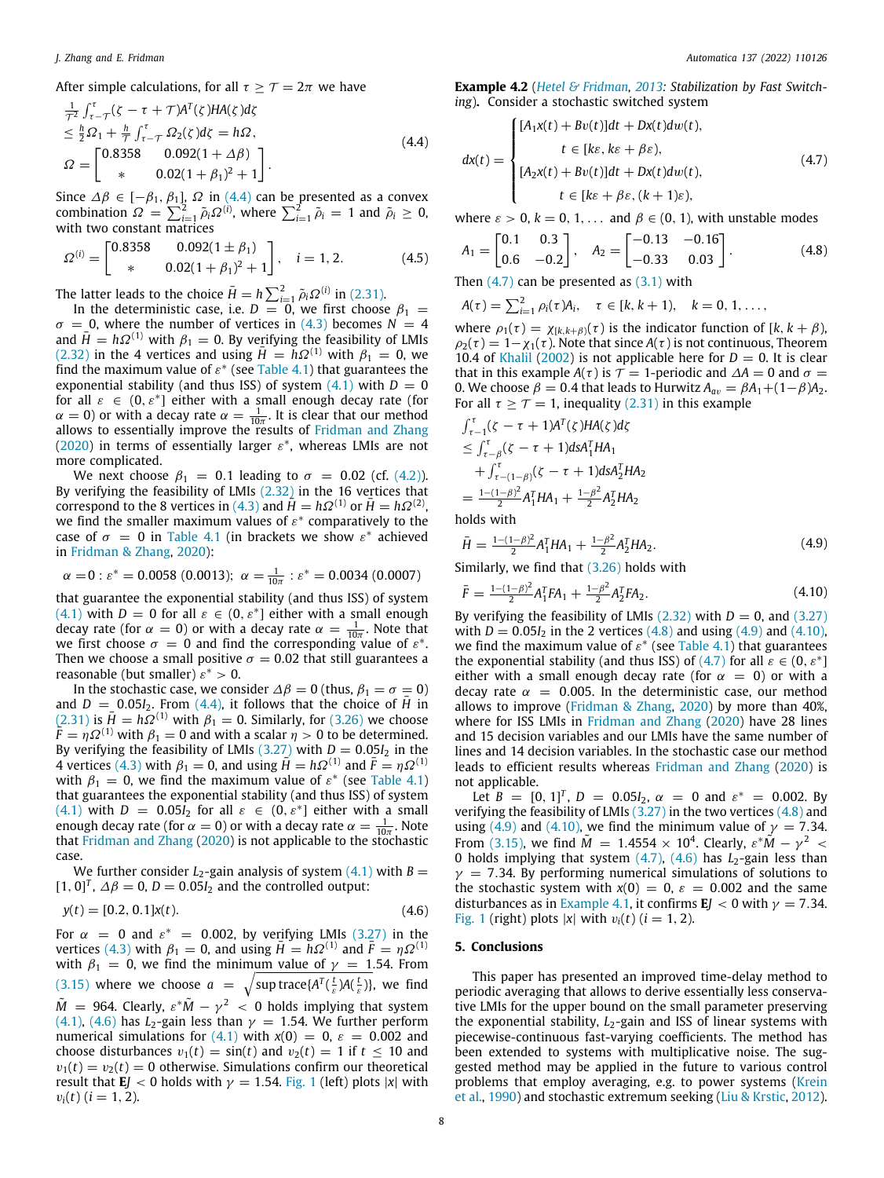$$
\frac{1}{T^2} \int_{\tau-T}^{\tau} (\zeta - \tau + T) A^T(\zeta) H A(\zeta) d\zeta
$$
\n
$$
\leq \frac{h}{2} \Omega_1 + \frac{h}{T} \int_{\tau-T}^{\tau} \Omega_2(\zeta) d\zeta = h \Omega,
$$
\n
$$
\Omega = \begin{bmatrix} 0.8358 & 0.092(1 + \Delta \beta) \\ * & 0.02(1 + \beta_1)^2 + 1 \end{bmatrix}.
$$
\n(4.4)

Since  $\Delta \beta \in [-\beta_1, \beta_1]$ ,  $\Omega$  in ([4.4](#page-7-1)) can be presented as a convex combination  $\Omega = \sum_{i=1}^{2} \tilde{\rho}_i \Omega^{(i)}$ , where  $\sum_{i=1}^{2} \tilde{\rho}_i = 1$  and  $\tilde{\rho}_i \geq 0$ , with two constant matrices

$$
\Omega^{(i)} = \begin{bmatrix} 0.8358 & 0.092(1 \pm \beta_1) \\ * & 0.02(1 + \beta_1)^2 + 1 \end{bmatrix}, \quad i = 1, 2. \tag{4.5}
$$

The latter leads to the choice  $\bar{H} = h \sum_{i=1}^{2} \tilde{\rho}_i \Omega^{(i)}$  in [\(2.31](#page-3-3)).

In the deterministic case, i.e.  $D = 0$ , we first choose  $\beta_1 =$  $\sigma = 0$ , where the number of vertices in ([4.3\)](#page-6-10) becomes  $N = 4$ and  $\bar{H} = h\Omega^{(1)}$  with  $\beta_1 = 0$ . By verifying the feasibility of LMIs ([2.32](#page-3-2)) in the 4 vertices and using  $\bar{H} = h\Omega^{(1)}$  with  $\beta_1 = 0$ , we find the maximum value of  $\varepsilon^*$  (see [Table](#page-8-25) [4.1](#page-8-25)) that guarantees the exponential stability (and thus ISS) of system  $(4.1)$  $(4.1)$  $(4.1)$  with  $D = 0$ for all  $\varepsilon \in (0, \varepsilon^*]$  either with a small enough decay rate (for  $\alpha = 0$ ) or with a decay rate  $\alpha = \frac{1}{10\pi}$ . It is clear that our method allows to essentially improve the results of [Fridman and Zhang](#page-8-14) ([2020\)](#page-8-14) in terms of essentially larger  $\varepsilon^*$ , whereas LMIs are not more complicated.

We next choose  $\beta_1 = 0.1$  leading to  $\sigma = 0.02$  (cf. [\(4.2\)](#page-6-9)). By verifying the feasibility of LMIs ([2.32\)](#page-3-2) in the 16 vertices that correspond to the 8 vertices in [\(4.3\)](#page-6-10) and  $H = h\Omega^{(1)}$  or  $H = h\Omega^{(2)}$ , we find the smaller maximum values of  $\varepsilon^*$  comparatively to the case of  $\sigma = 0$  in [Table](#page-8-25) [4.1](#page-8-25) (in brackets we show  $\varepsilon^*$  achieved in [Fridman & Zhang,](#page-8-14) [2020\)](#page-8-14):

$$
\alpha = 0
$$
:  $\varepsilon^* = 0.0058$  (0.0013);  $\alpha = \frac{1}{10\pi}$ :  $\varepsilon^* = 0.0034$  (0.0007)

that guarantee the exponential stability (and thus ISS) of system ([4.1](#page-6-8)) with  $D = 0$  for all  $\varepsilon \in (0, \varepsilon^*]$  either with a small enough decay rate (for  $\alpha = 0$ ) or with a decay rate  $\alpha = \frac{1}{10\pi}$ . Note that we first choose  $\sigma = 0$  and find the corresponding value of  $\varepsilon^*$ . Then we choose a small positive  $\sigma = 0.02$  that still guarantees a reasonable (but smaller)  $\varepsilon^* > 0$ .

In the stochastic case, we consider  $\Delta \beta = 0$  (thus,  $\beta_1 = \sigma = 0$ ) and  $D = 0.05I_2$ . From ([4.4](#page-7-1)), it follows that the choice of  $\bar{H}$  in ([2.31](#page-3-3)) is  $\bar{H} = h\Omega^{(1)}$  with  $\beta_1 = 0$ . Similarly, for [\(3.26\)](#page-5-0) we choose  $\bar{F} = \eta \Omega^{(1)}$  with  $\beta_1 = 0$  and with a scalar  $\eta > 0$  to be determined. By verifying the feasibility of LMIs  $(3.27)$  with  $D = 0.05I_2$  in the 4 vertices ([4.3](#page-6-10)) with  $\beta_1 = 0$ , and using  $\bar{H} = h\Omega^{(1)}$  and  $\bar{F} = \eta \Omega^{(1)}$ with  $\beta_1 = 0$ , we find the maximum value of  $\varepsilon^*$  (see [Table](#page-8-25) [4.1\)](#page-8-25) that guarantees the exponential stability (and thus ISS) of system  $(4.1)$  $(4.1)$  $(4.1)$  with  $D = 0.05I_2$  for all  $\varepsilon \in (0, \varepsilon^*]$  either with a small enough decay rate (for  $\alpha = 0$ ) or with a decay rate  $\alpha = \frac{1}{10\pi}$ . Note that [Fridman and Zhang](#page-8-14) ([2020\)](#page-8-14) is not applicable to the stochastic case.

We further consider  $L_2$ -gain analysis of system  $(4.1)$  with  $B =$  $[1, 0]^T$ ,  $\Delta \beta = 0$ ,  $D = 0.05I_2$  and the controlled output:

$$
y(t) = [0.2, 0.1]x(t). \tag{4.6}
$$

For  $\alpha = 0$  and  $\varepsilon^* = 0.002$ , by verifying LMIs ([3.27](#page-6-1)) in the vertices ([4.3](#page-6-10)) with  $\beta_1 = 0$ , and using  $\bar{H} = h\Omega^{(1)}$  and  $\bar{F} = \eta \Omega^{(1)}$ with  $\beta_1 = 0$ , we find the minimum value of  $\gamma = 1.54$ . From ([3.15](#page-5-4)) where we choose  $a = \sqrt{\sup \, \text{trace}\{A^T(\frac{t}{\varepsilon})A(\frac{t}{\varepsilon})\}}$ , we find  $\tilde{M}~=~$  964. Clearly,  $\varepsilon^* \tilde{M} - \gamma^2~<~0$  holds implying that system ([4.1](#page-6-8)), ([4.6](#page-7-2)) has  $L_2$ -gain less than  $\gamma = 1.54$ . We further perform numerical simulations for ([4.1](#page-6-8)) with  $x(0) = 0$ ,  $\varepsilon = 0.002$  and choose disturbances  $v_1(t) = \sin(t)$  and  $v_2(t) = 1$  if  $t \le 10$  and  $v_1(t) = v_2(t) = 0$  otherwise. Simulations confirm our theoretical result that **E***J* < 0 holds with  $\gamma = 1.54$  $\gamma = 1.54$  $\gamma = 1.54$ . [Fig.](#page-8-26) 1 (left) plots |*x*| with  $v_i(t)$  ( $i = 1, 2$ ).

<span id="page-7-0"></span>**Example 4.2** (*[Hetel & Fridman,](#page-8-27) [2013:](#page-8-27) Stabilization by Fast Switching*)**.** Consider a stochastic switched system

<span id="page-7-3"></span><span id="page-7-1"></span>
$$
dx(t) = \begin{cases} [A_1x(t) + Bv(t)]dt + Dx(t)dw(t), \\ t \in [ke, ke + \beta \varepsilon), \\ [A_2x(t) + Bv(t)]dt + Dx(t)dw(t), \\ t \in [ke + \beta \varepsilon, (k+1)\varepsilon), \end{cases}
$$
(4.7)

where  $\varepsilon > 0$ ,  $k = 0, 1, \ldots$  and  $\beta \in (0, 1)$ , with unstable modes

$$
A_1 = \begin{bmatrix} 0.1 & 0.3 \\ 0.6 & -0.2 \end{bmatrix}, \quad A_2 = \begin{bmatrix} -0.13 & -0.16 \\ -0.33 & 0.03 \end{bmatrix}.
$$
 (4.8)

Then  $(4.7)$  $(4.7)$  can be presented as  $(3.1)$  $(3.1)$  $(3.1)$  with

<span id="page-7-4"></span>
$$
A(\tau) = \sum_{i=1}^{2} \rho_i(\tau) A_i, \quad \tau \in [k, k+1), \quad k = 0, 1, \ldots,
$$

where  $\rho_1(\tau) = \chi_{[k,k+\beta]}(\tau)$  is the indicator function of  $[k, k+\beta)$ ,  $\rho_2(\tau) = 1-\chi_1(\tau)$ . Note that since  $A(\tau)$  is not continuous, Theorem 10.4 of [Khalil](#page-8-11) ([2002](#page-8-11)) is not applicable here for  $D = 0$ . It is clear that in this example *A*( $\tau$ ) is  $\tau$  = 1-periodic and  $\Delta A = 0$  and  $\sigma$  = 0. We choose  $\beta = 0.4$  that leads to Hurwitz  $A_{av} = \beta A_1 + (1 - \beta)A_2$ . For all  $\tau > \tau = 1$ , inequality [\(2.31\)](#page-3-3) in this example

$$
\int_{\tau-1}^{\tau} (\zeta - \tau + 1) A^{T}(\zeta) H A(\zeta) d\zeta
$$
\n
$$
\leq \int_{\tau-\beta}^{\tau} (\zeta - \tau + 1) ds A_{1}^{T} H A_{1}
$$
\n
$$
+ \int_{\tau-(1-\beta)}^{\tau} (\zeta - \tau + 1) ds A_{2}^{T} H A_{2}
$$
\n
$$
= \frac{1 - (1-\beta)^{2}}{2} A_{1}^{T} H A_{1} + \frac{1 - \beta^{2}}{2} A_{2}^{T} H A_{2}
$$

holds with

<span id="page-7-5"></span>
$$
\bar{H} = \frac{1 - (1 - \beta)^2}{2} A_1^T H A_1 + \frac{1 - \beta^2}{2} A_2^T H A_2.
$$
 (4.9)

Similarly, we find that [\(3.26](#page-5-0)) holds with

<span id="page-7-6"></span>
$$
\bar{F} = \frac{1 - (1 - \beta)^2}{2} A_1^T F A_1 + \frac{1 - \beta^2}{2} A_2^T F A_2.
$$
 (4.10)

By verifying the feasibility of LMIs  $(2.32)$  with  $D = 0$ , and  $(3.27)$ with  $D = 0.05I_2$  in the 2 vertices ([4.8\)](#page-7-4) and using [\(4.9\)](#page-7-5) and [\(4.10\)](#page-7-6), we find the maximum value of  $\varepsilon^*$  (see [Table](#page-8-25) [4.1](#page-8-25)) that guarantees the exponential stability (and thus ISS) of [\(4.7\)](#page-7-3) for all  $\varepsilon \in (0, \varepsilon^*]$ either with a small enough decay rate (for  $\alpha = 0$ ) or with a decay rate  $\alpha = 0.005$ . In the deterministic case, our method allows to improve ([Fridman & Zhang,](#page-8-14) [2020](#page-8-14)) by more than 40%, where for ISS LMIs in [Fridman and Zhang](#page-8-14) [\(2020](#page-8-14)) have 28 lines and 15 decision variables and our LMIs have the same number of lines and 14 decision variables. In the stochastic case our method leads to efficient results whereas [Fridman and Zhang](#page-8-14) ([2020\)](#page-8-14) is not applicable.

Let  $B = [0, 1]^T$ ,  $D = 0.05I_2$ ,  $\alpha = 0$  and  $\varepsilon^* = 0.002$ . By verifying the feasibility of LMIs  $(3.27)$  in the two vertices  $(4.8)$  $(4.8)$  $(4.8)$  and using [\(4.9\)](#page-7-5) and [\(4.10\)](#page-7-6), we find the minimum value of  $\gamma = 7.34$ . From [\(3.15\)](#page-5-4), we find  $\tilde{M} = 1.4554 \times 10^4$ . Clearly,  $\varepsilon^* \tilde{M} - \gamma^2$  < 0 holds implying that system ([4.7](#page-7-3)), [\(4.6\)](#page-7-2) has *L*<sub>2</sub>-gain less than  $\gamma$  = 7.34. By performing numerical simulations of solutions to the stochastic system with  $x(0) = 0$ ,  $\varepsilon = 0.002$  and the same disturbances as in [Example](#page-6-0) [4.1](#page-6-0), it confirms  $E_J < 0$  with  $\gamma = 7.34$ . [Fig.](#page-8-26) [1](#page-8-26) (right) plots  $|x|$  with  $v_i(t)$  ( $i = 1, 2$ ).

#### <span id="page-7-2"></span>**5. Conclusions**

This paper has presented an improved time-delay method to periodic averaging that allows to derive essentially less conservative LMIs for the upper bound on the small parameter preserving the exponential stability, *L*<sub>2</sub>-gain and ISS of linear systems with piecewise-continuous fast-varying coefficients. The method has been extended to systems with multiplicative noise. The suggested method may be applied in the future to various control problems that employ averaging, e.g. to power systems [\(Krein](#page-8-28) [et al.,](#page-8-28) [1990](#page-8-28)) and stochastic extremum seeking ([Liu & Krstic](#page-8-13), [2012\)](#page-8-13).